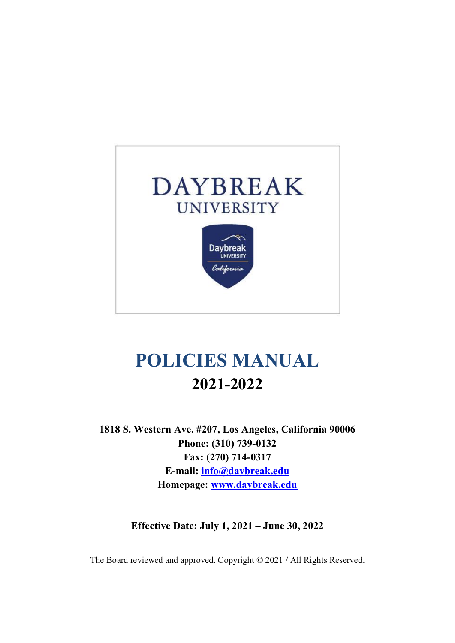

# **POLICIES MANUAL 2021-2022**

**1818 S. Western Ave. #207, Los Angeles, California 90006 Phone: (310) 739-0132 Fax: (270) 714-0317 E-mail: info@daybreak.edu Homepage: www.daybreak.edu**

**Effective Date: July 1, 2021 – June 30, 2022**

The Board reviewed and approved. Copyright © 2021 / All Rights Reserved.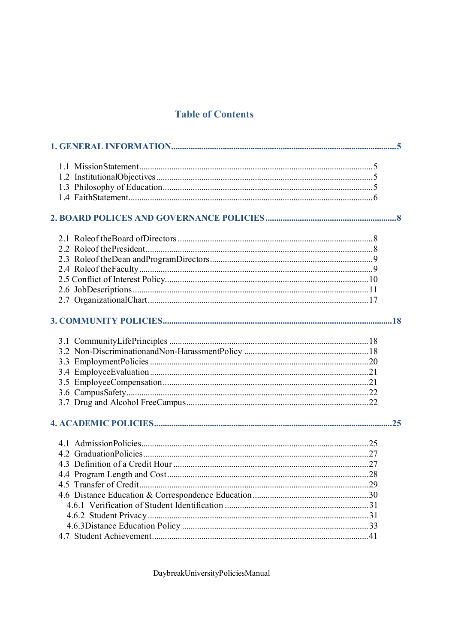# **Table of Contents**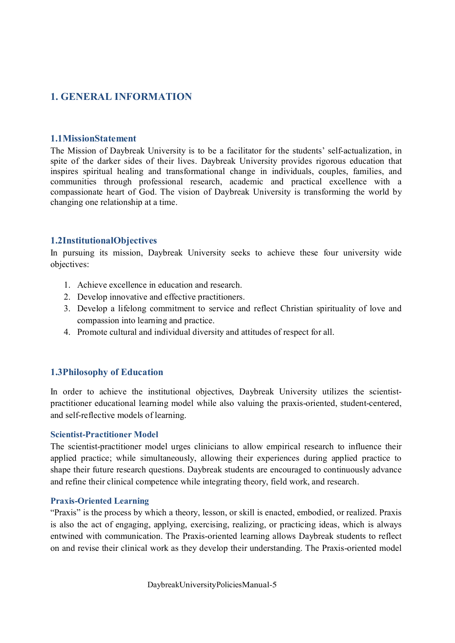# **1. GENERAL INFORMATION**

#### **1.1MissionStatement**

The Mission of Daybreak University is to be a facilitator for the students' self-actualization, in spite of the darker sides of their lives. Daybreak University provides rigorous education that inspires spiritual healing and transformational change in individuals, couples, families, and communities through professional research, academic and practical excellence with a compassionate heart of God. The vision of Daybreak University is transforming the world by changing one relationship at a time.

#### **1.2InstitutionalObjectives**

In pursuing its mission, Daybreak University seeks to achieve these four university wide objectives:

- 1. Achieve excellence in education and research.
- 2. Develop innovative and effective practitioners.
- 3. Develop a lifelong commitment to service and reflect Christian spirituality of love and compassion into learning and practice.
- 4. Promote cultural and individual diversity and attitudes of respect for all.

#### **1.3Philosophy of Education**

In order to achieve the institutional objectives, Daybreak University utilizes the scientistpractitioner educational learning model while also valuing the praxis-oriented, student-centered, and self-reflective models of learning.

#### **Scientist-Practitioner Model**

The scientist-practitioner model urges clinicians to allow empirical research to influence their applied practice; while simultaneously, allowing their experiences during applied practice to shape their future research questions. Daybreak students are encouraged to continuously advance and refine their clinical competence while integrating theory, field work, and research.

#### **Praxis-Oriented Learning**

"Praxis" is the process by which a theory, lesson, or skill is enacted, embodied, or realized. Praxis is also the act of engaging, applying, exercising, realizing, or practicing ideas, which is always entwined with communication. The Praxis-oriented learning allows Daybreak students to reflect on and revise their clinical work as they develop their understanding. The Praxis-oriented model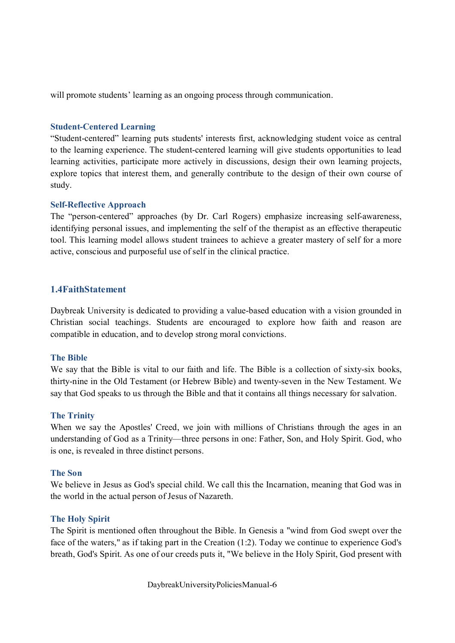will promote students' learning as an ongoing process through communication.

#### **Student-Centered Learning**

"Student-centered" learning puts students' interests first, acknowledging student voice as central to the learning experience. The student-centered learning will give students opportunities to lead learning activities, participate more actively in discussions, design their own learning projects, explore topics that interest them, and generally contribute to the design of their own course of study.

#### **Self-Reflective Approach**

The "person-centered" approaches (by Dr. Carl Rogers) emphasize increasing self-awareness, identifying personal issues, and implementing the self of the therapist as an effective therapeutic tool. This learning model allows student trainees to achieve a greater mastery of self for a more active, conscious and purposeful use of self in the clinical practice.

#### **1.4FaithStatement**

Daybreak University is dedicated to providing a value-based education with a vision grounded in Christian social teachings. Students are encouraged to explore how faith and reason are compatible in education, and to develop strong moral convictions.

#### **The Bible**

We say that the Bible is vital to our faith and life. The Bible is a collection of sixty-six books, thirty-nine in the Old Testament (or Hebrew Bible) and twenty-seven in the New Testament. We say that God speaks to us through the Bible and that it contains all things necessary for salvation.

#### **The Trinity**

When we say the Apostles' Creed, we join with millions of Christians through the ages in an understanding of God as a Trinity—three persons in one: Father, Son, and Holy Spirit. God, who is one, is revealed in three distinct persons.

#### **The Son**

We believe in Jesus as God's special child. We call this the Incarnation, meaning that God was in the world in the actual person of Jesus of Nazareth.

#### **The Holy Spirit**

The Spirit is mentioned often throughout the Bible. In Genesis a "wind from God swept over the face of the waters," as if taking part in the Creation (1:2). Today we continue to experience God's breath, God's Spirit. As one of our creeds puts it, "We believe in the Holy Spirit, God present with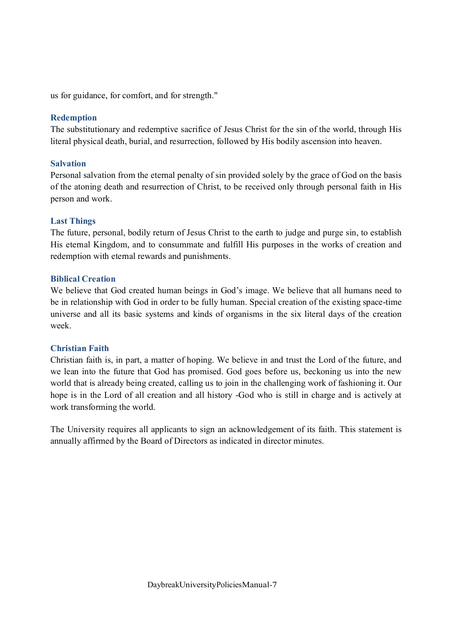us for guidance, for comfort, and for strength."

#### **Redemption**

The substitutionary and redemptive sacrifice of Jesus Christ for the sin of the world, through His literal physical death, burial, and resurrection, followed by His bodily ascension into heaven.

#### **Salvation**

Personal salvation from the eternal penalty of sin provided solely by the grace of God on the basis of the atoning death and resurrection of Christ, to be received only through personal faith in His person and work.

#### **Last Things**

The future, personal, bodily return of Jesus Christ to the earth to judge and purge sin, to establish His eternal Kingdom, and to consummate and fulfill His purposes in the works of creation and redemption with eternal rewards and punishments.

#### **Biblical Creation**

We believe that God created human beings in God's image. We believe that all humans need to be in relationship with God in order to be fully human. Special creation of the existing space-time universe and all its basic systems and kinds of organisms in the six literal days of the creation week.

#### **Christian Faith**

Christian faith is, in part, a matter of hoping. We believe in and trust the Lord of the future, and we lean into the future that God has promised. God goes before us, beckoning us into the new world that is already being created, calling us to join in the challenging work of fashioning it. Our hope is in the Lord of all creation and all history -God who is still in charge and is actively at work transforming the world.

The University requires all applicants to sign an acknowledgement of its faith. This statement is annually affirmed by the Board of Directors as indicated in director minutes.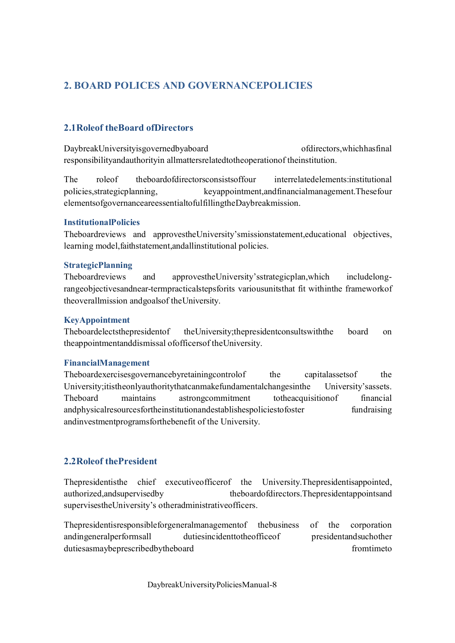# **2. BOARD POLICES AND GOVERNANCEPOLICIES**

# **2.1Roleof theBoard ofDirectors**

DaybreakUniversityisgovernedbyaboard of of of directors, which has final responsibilityandauthorityin allmattersrelatedtotheoperationof theinstitution.

The roleof theboardofdirectorsconsistsoffour interrelatedelements:institutional policies,strategicplanning, keyappointment,andfinancialmanagement.Thesefour elementsofgovernanceareessentialtofulfillingtheDaybreakmission.

#### **InstitutionalPolicies**

Theboardreviews and approvestheUniversity'smissionstatement,educational objectives, learning model,faithstatement,andallinstitutional policies.

#### **StrategicPlanning**

Theboardreviews and approvestheUniversity'sstrategicplan,which includelongrangeobjectivesandnear-termpracticalstepsforits variousunitsthat fit withinthe frameworkof theoverallmission andgoalsof theUniversity.

#### **KeyAppointment**

Theboardelectsthepresidentof theUniversity;thepresidentconsultswiththe board on theappointmentanddismissal ofofficersof theUniversity.

#### **FinancialManagement**

Theboardexercisesgovernancebyretainingcontrolof the capitalassets of the University;itistheonlyauthoritythatcanmakefundamentalchangesinthe University'sassets. Theboard maintains astrongcommitment totheacquisitionof financial andphysicalresourcesfortheinstitutionandestablishespoliciestofoster fundraising andinvestmentprogramsforthebenefit of the University.

# **2.2Roleof thePresident**

Thepresidentisthe chief executiveofficerof the University.Thepresidentisappointed, authorized,andsupervisedby theboardofdirectors.Thepresidentappointsand supervisestheUniversity's otheradministrativeofficers.

Thepresidentisresponsibleforgeneralmanagementof thebusiness of the corporation andingeneralperformsall dutiesincidenttotheofficeof presidentandsuchother dutiesasmaybeprescribedbytheboard from timeto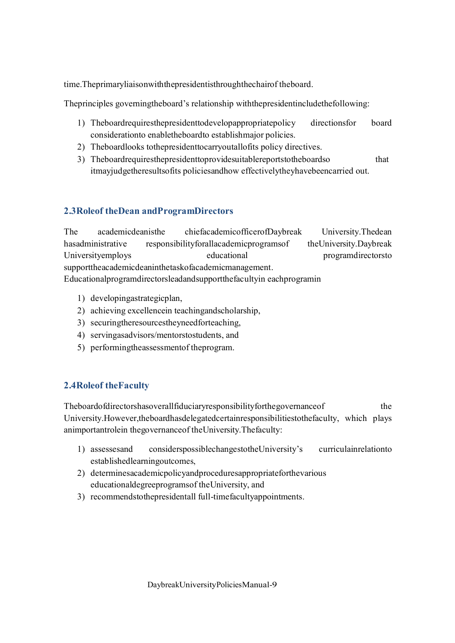time.Theprimaryliaisonwiththepresidentisthroughthechairof theboard.

Theprinciples governingtheboard's relationship withthepresidentincludethefollowing:

- 1) Theboardrequiresthepresidenttodevelopappropriatepolicy directionsfor board considerationto enabletheboardto establishmajor policies.
- 2) Theboardlooks tothepresidenttocarryoutallofits policy directives.
- 3) Theboardrequiresthepresidenttoprovidesuitablereportstotheboardso that itmayjudgetheresultsofits policiesandhow effectivelytheyhavebeencarried out.

# **2.3Roleof theDean andProgramDirectors**

The academicdeanisthe chiefacademicofficerofDaybreak University.Thedean hasadministrative responsibilityforallacademicprogramsof theUniversity.Daybreak Universityemploys educational programdirectorsto supporttheacademicdeaninthetaskofacademicmanagement. Educationalprogramdirectorsleadandsupportthefacultyin eachprogramin

- 1) developingastrategicplan,
- 2) achieving excellencein teachingandscholarship,
- 3) securingtheresourcestheyneedforteaching,
- 4) servingasadvisors/mentorstostudents, and
- 5) performingtheassessmentof theprogram.

# **2.4Roleof theFaculty**

Theboardofdirectorshasoverallfiduciaryresponsibilityforthegovernanceof the University.However,theboardhasdelegatedcertainresponsibilitiestothefaculty, which plays animportantrolein thegovernanceof theUniversity.Thefaculty:

- 1) assessesand considerspossiblechangestotheUniversity's curriculainrelationto establishedlearningoutcomes,
- 2) determinesacademicpolicyandproceduresappropriateforthevarious educationaldegreeprogramsof theUniversity, and
- 3) recommendstothepresidentall full-timefacultyappointments.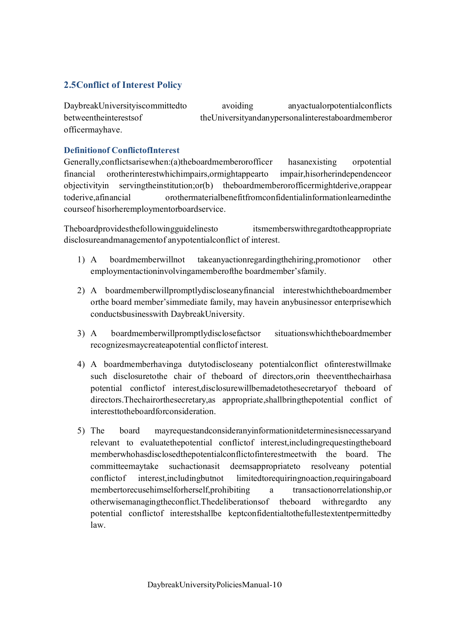# **2.5Conflict of Interest Policy**

DaybreakUniversityiscommittedto avoiding anyactualorpotentialconflicts betweentheinterestsof theUniversityandanypersonalinterestaboardmemberor officermayhave.

## **Definitionof ConflictofInterest**

Generally,conflictsarisewhen:(a)theboardmemberorofficer hasanexisting orpotential financial orotherinterestwhichimpairs,ormightappearto impair,hisorherindependenceor objectivityin servingtheinstitution;or(b) theboardmemberorofficermightderive,orappear toderive,afinancial orothermaterialbenefitfromconfidentialinformationlearnedinthe courseof hisorheremploymentorboardservice.

Theboardprovidesthefollowingguidelinesto itsmemberswithregardtotheappropriate disclosureandmanagementof anypotentialconflict of interest.

- 1) A boardmemberwillnot takeanyactionregardingthehiring,promotionor other employmentactioninvolvingamemberofthe boardmember'sfamily.
- 2) A boardmemberwillpromptlydiscloseanyfinancial interestwhichtheboardmember orthe board member'simmediate family, may havein anybusinessor enterprisewhich conductsbusinesswith DaybreakUniversity.
- 3) A boardmemberwillpromptlydisclosefactsor situationswhichtheboardmember recognizesmaycreateapotential conflictof interest.
- 4) A boardmemberhavinga dutytodiscloseany potentialconflict ofinterestwillmake such disclosuretothe chair of theboard of directors,orin theeventthechairhasa potential conflictof interest,disclosurewillbemadetothesecretaryof theboard of directors.Thechairorthesecretary,as appropriate,shallbringthepotential conflict of interesttotheboardforconsideration.
- 5) The board mayrequestandconsideranyinformationitdeterminesisnecessaryand relevant to evaluatethepotential conflictof interest,includingrequestingtheboard memberwhohasdisclosedthepotentialconflictofinterestmeetwith the board. The committeemaytake suchactionasit deemsappropriateto resolveany potential conflictof interest,includingbutnot limitedtorequiringnoaction,requiringaboard membertorecusehimselforherself,prohibiting a transactionorrelationship,or otherwisemanagingtheconflict.Thedeliberationsof theboard withregardto any potential conflictof interestshallbe keptconfidentialtothefullestextentpermittedby law.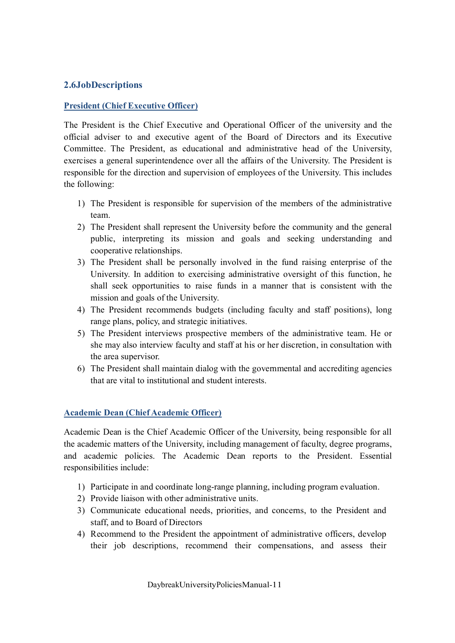## **2.6JobDescriptions**

#### **President (Chief Executive Officer)**

The President is the Chief Executive and Operational Officer of the university and the official adviser to and executive agent of the Board of Directors and its Executive Committee. The President, as educational and administrative head of the University, exercises a general superintendence over all the affairs of the University. The President is responsible for the direction and supervision of employees of the University. This includes the following:

- 1) The President is responsible for supervision of the members of the administrative team.
- 2) The President shall represent the University before the community and the general public, interpreting its mission and goals and seeking understanding and cooperative relationships.
- 3) The President shall be personally involved in the fund raising enterprise of the University. In addition to exercising administrative oversight of this function, he shall seek opportunities to raise funds in a manner that is consistent with the mission and goals of the University.
- 4) The President recommends budgets (including faculty and staff positions), long range plans, policy, and strategic initiatives.
- 5) The President interviews prospective members of the administrative team. He or she may also interview faculty and staff at his or her discretion, in consultation with the area supervisor.
- 6) The President shall maintain dialog with the governmental and accrediting agencies that are vital to institutional and student interests.

#### **Academic Dean (Chief Academic Officer)**

Academic Dean is the Chief Academic Officer of the University, being responsible for all the academic matters of the University, including management of faculty, degree programs, and academic policies. The Academic Dean reports to the President. Essential responsibilities include:

- 1) Participate in and coordinate long-range planning, including program evaluation.
- 2) Provide liaison with other administrative units.
- 3) Communicate educational needs, priorities, and concerns, to the President and staff, and to Board of Directors
- 4) Recommend to the President the appointment of administrative officers, develop their job descriptions, recommend their compensations, and assess their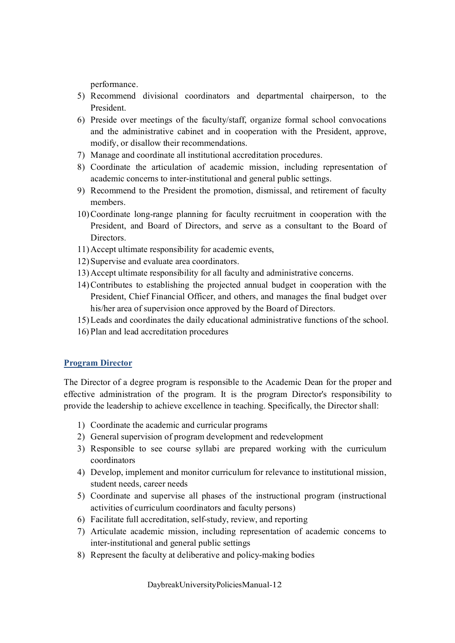performance.

- 5) Recommend divisional coordinators and departmental chairperson, to the President.
- 6) Preside over meetings of the faculty/staff, organize formal school convocations and the administrative cabinet and in cooperation with the President, approve, modify, or disallow their recommendations.
- 7) Manage and coordinate all institutional accreditation procedures.
- 8) Coordinate the articulation of academic mission, including representation of academic concerns to inter-institutional and general public settings.
- 9) Recommend to the President the promotion, dismissal, and retirement of faculty members.
- 10)Coordinate long-range planning for faculty recruitment in cooperation with the President, and Board of Directors, and serve as a consultant to the Board of Directors.
- 11)Accept ultimate responsibility for academic events,
- 12) Supervise and evaluate area coordinators.
- 13)Accept ultimate responsibility for all faculty and administrative concerns.
- 14)Contributes to establishing the projected annual budget in cooperation with the President, Chief Financial Officer, and others, and manages the final budget over his/her area of supervision once approved by the Board of Directors.
- 15)Leads and coordinates the daily educational administrative functions of the school.
- 16) Plan and lead accreditation procedures

#### **Program Director**

The Director of a degree program is responsible to the Academic Dean for the proper and effective administration of the program. It is the program Director's responsibility to provide the leadership to achieve excellence in teaching. Specifically, the Director shall:

- 1) Coordinate the academic and curricular programs
- 2) General supervision of program development and redevelopment
- 3) Responsible to see course syllabi are prepared working with the curriculum coordinators
- 4) Develop, implement and monitor curriculum for relevance to institutional mission, student needs, career needs
- 5) Coordinate and supervise all phases of the instructional program (instructional activities of curriculum coordinators and faculty persons)
- 6) Facilitate full accreditation, self-study, review, and reporting
- 7) Articulate academic mission, including representation of academic concerns to inter-institutional and general public settings
- 8) Represent the faculty at deliberative and policy-making bodies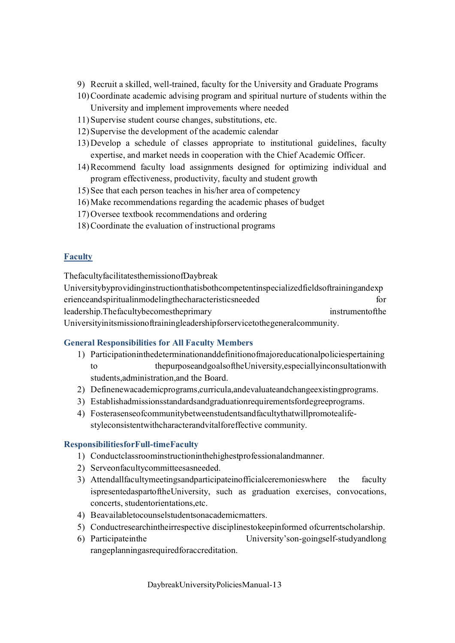- 9) Recruit a skilled, well-trained, faculty for the University and Graduate Programs
- 10)Coordinate academic advising program and spiritual nurture of students within the University and implement improvements where needed
- 11) Supervise student course changes, substitutions, etc.
- 12) Supervise the development of the academic calendar
- 13)Develop a schedule of classes appropriate to institutional guidelines, faculty expertise, and market needs in cooperation with the Chief Academic Officer.
- 14)Recommend faculty load assignments designed for optimizing individual and program effectiveness, productivity, faculty and student growth
- 15) See that each person teaches in his/her area of competency
- 16)Make recommendations regarding the academic phases of budget
- 17)Oversee textbook recommendations and ordering
- 18)Coordinate the evaluation of instructional programs

#### **Faculty**

ThefacultyfacilitatesthemissionofDaybreak

Universitybyprovidinginstructionthatisbothcompetentinspecializedfieldsoftrainingandexp erienceandspiritualinmodelingthecharacteristicsneeded for leadership.Thefacultybecomestheprimary instrumentofthe Universityinitsmissionoftrainingleadershipforservicetothegeneralcommunity.

#### **General Responsibilities for All Faculty Members**

- 1) Participationinthedeterminationanddefinitionofmajoreducationalpoliciespertaining to thepurposeandgoalsoftheUniversity,especiallyinconsultationwith students,administration,and the Board.
- 2) Definenewacademicprograms,curricula,andevaluateandchangeexistingprograms.
- 3) Establishadmissionsstandardsandgraduationrequirementsfordegreeprograms.
- 4) Fosterasenseofcommunitybetweenstudentsandfacultythatwillpromotealifestyleconsistentwithcharacterandvitalforeffective community.

#### **ResponsibilitiesforFull-timeFaculty**

- 1) Conductclassroominstructioninthehighestprofessionalandmanner.
- 2) Serveonfacultycommitteesasneeded.
- 3) Attendallfacultymeetingsandparticipateinofficialceremonieswhere the faculty ispresentedaspartoftheUniversity, such as graduation exercises, convocations, concerts, studentorientations,etc.
- 4) Beavailabletocounselstudentsonacademicmatters.
- 5) Conductresearchintheirrespective disciplinestokeepinformed ofcurrentscholarship.
- 6) Participateinthe University'son-goingself-studyandlong rangeplanningasrequiredforaccreditation.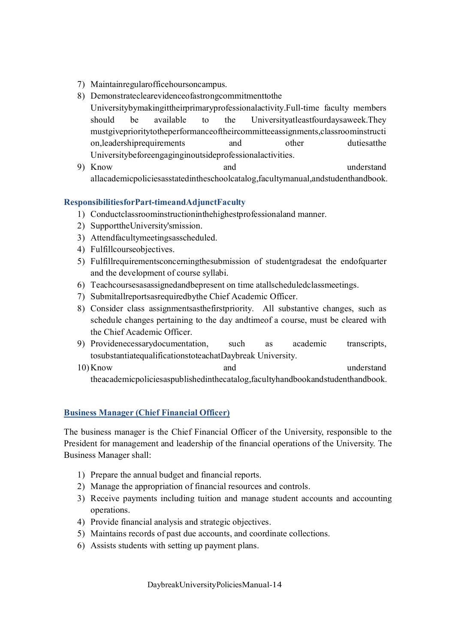- 7) Maintainregularofficehoursoncampus.
- 8) Demonstrateclearevidenceofastrongcommitmenttothe Universitybymakingittheirprimaryprofessionalactivity.Full-time faculty members should be available to the Universityatleastfourdaysaweek.They mustgiveprioritytotheperformanceoftheircommitteeassignments,classroominstructi on, leadership requirements and other duties at the duties of the duties at the duties at the duties at the duties at the duties at the duties at the duties of the duties at the duties at the duties at the duties at the du Universitybeforeengaginginoutsideprofessionalactivities.
- 9) Know and understand allacademicpoliciesasstatedintheschoolcatalog,facultymanual,andstudenthandbook.

#### **ResponsibilitiesforPart-timeandAdjunctFaculty**

- 1) Conductclassroominstructioninthehighestprofessionaland manner.
- 2) SupporttheUniversity'smission.
- 3) Attendfacultymeetingsasscheduled.
- 4) Fulfillcourseobjectives.
- 5) Fulfillrequirementsconcerningthesubmission of studentgradesat the endofquarter and the development of course syllabi.
- 6) Teachcoursesasassignedandbepresent on time atallscheduledclassmeetings.
- 7) Submitallreportsasrequiredbythe Chief Academic Officer.
- 8) Consider class assignmentsasthefirstpriority. All substantive changes, such as schedule changes pertaining to the day andtimeof a course, must be cleared with the Chief Academic Officer.
- 9) Providenecessarydocumentation, such as academic transcripts, tosubstantiatequalificationstoteachatDaybreak University.
- 10)Know and understand theacademicpoliciesaspublishedinthecatalog,facultyhandbookandstudenthandbook.

# **Business Manager (Chief Financial Officer)**

The business manager is the Chief Financial Officer of the University, responsible to the President for management and leadership of the financial operations of the University. The Business Manager shall:

- 1) Prepare the annual budget and financial reports.
- 2) Manage the appropriation of financial resources and controls.
- 3) Receive payments including tuition and manage student accounts and accounting operations.
- 4) Provide financial analysis and strategic objectives.
- 5) Maintains records of past due accounts, and coordinate collections.
- 6) Assists students with setting up payment plans.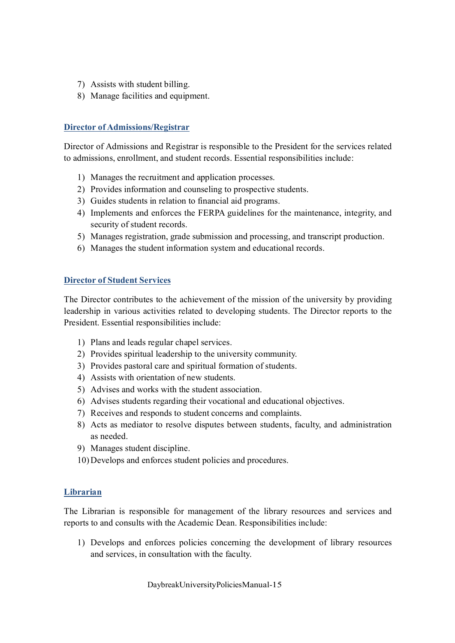- 7) Assists with student billing.
- 8) Manage facilities and equipment.

#### **Director of Admissions/Registrar**

Director of Admissions and Registrar is responsible to the President for the services related to admissions, enrollment, and student records. Essential responsibilities include:

- 1) Manages the recruitment and application processes.
- 2) Provides information and counseling to prospective students.
- 3) Guides students in relation to financial aid programs.
- 4) Implements and enforces the FERPA guidelines for the maintenance, integrity, and security of student records.
- 5) Manages registration, grade submission and processing, and transcript production.
- 6) Manages the student information system and educational records.

#### **Director of Student Services**

The Director contributes to the achievement of the mission of the university by providing leadership in various activities related to developing students. The Director reports to the President. Essential responsibilities include:

- 1) Plans and leads regular chapel services.
- 2) Provides spiritual leadership to the university community.
- 3) Provides pastoral care and spiritual formation of students.
- 4) Assists with orientation of new students.
- 5) Advises and works with the student association.
- 6) Advises students regarding their vocational and educational objectives.
- 7) Receives and responds to student concerns and complaints.
- 8) Acts as mediator to resolve disputes between students, faculty, and administration as needed.
- 9) Manages student discipline.
- 10)Develops and enforces student policies and procedures.

#### **Librarian**

The Librarian is responsible for management of the library resources and services and reports to and consults with the Academic Dean. Responsibilities include:

1) Develops and enforces policies concerning the development of library resources and services, in consultation with the faculty.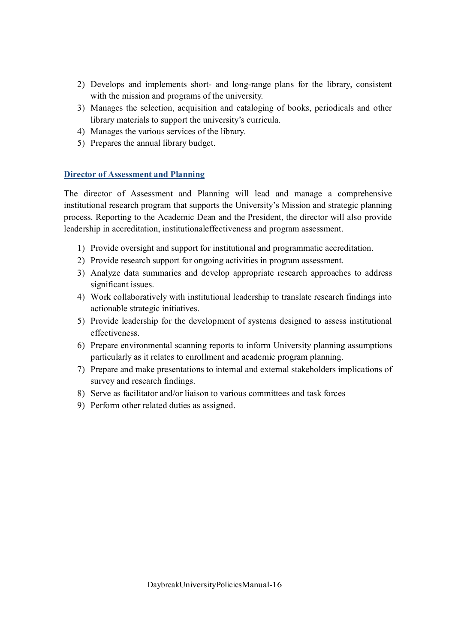- 2) Develops and implements short- and long-range plans for the library, consistent with the mission and programs of the university.
- 3) Manages the selection, acquisition and cataloging of books, periodicals and other library materials to support the university's curricula.
- 4) Manages the various services of the library.
- 5) Prepares the annual library budget.

#### **Director of Assessment and Planning**

The director of Assessment and Planning will lead and manage a comprehensive institutional research program that supports the University's Mission and strategic planning process. Reporting to the Academic Dean and the President, the director will also provide leadership in accreditation, institutionaleffectiveness and program assessment.

- 1) Provide oversight and support for institutional and programmatic accreditation.
- 2) Provide research support for ongoing activities in program assessment.
- 3) Analyze data summaries and develop appropriate research approaches to address significant issues.
- 4) Work collaboratively with institutional leadership to translate research findings into actionable strategic initiatives.
- 5) Provide leadership for the development of systems designed to assess institutional effectiveness.
- 6) Prepare environmental scanning reports to inform University planning assumptions particularly as it relates to enrollment and academic program planning.
- 7) Prepare and make presentations to internal and external stakeholders implications of survey and research findings.
- 8) Serve as facilitator and/or liaison to various committees and task forces
- 9) Perform other related duties as assigned.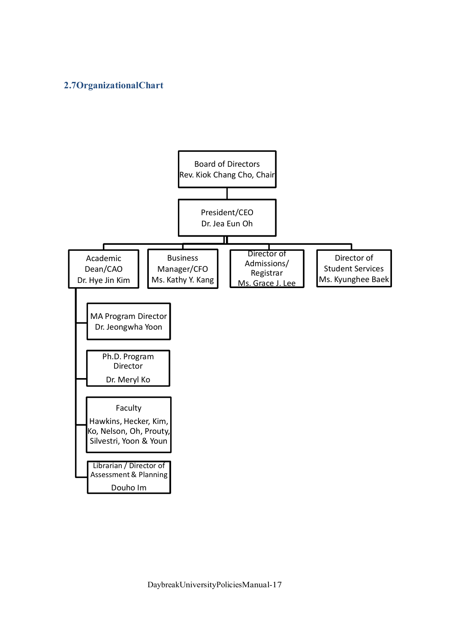# **2.7OrganizationalChart**

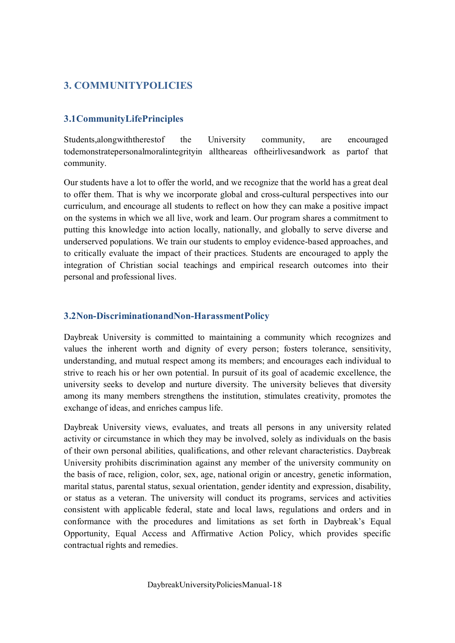# **3. COMMUNITYPOLICIES**

# **3.1CommunityLifePrinciples**

Students,alongwiththerestof the University community, are encouraged todemonstratepersonalmoralintegrityin alltheareas oftheirlivesandwork as partof that community.

Our students have a lot to offer the world, and we recognize that the world has a great deal to offer them. That is why we incorporate global and cross-cultural perspectives into our curriculum, and encourage all students to reflect on how they can make a positive impact on the systems in which we all live, work and learn. Our program shares a commitment to putting this knowledge into action locally, nationally, and globally to serve diverse and underserved populations. We train our students to employ evidence-based approaches, and to critically evaluate the impact of their practices. Students are encouraged to apply the integration of Christian social teachings and empirical research outcomes into their personal and professional lives.

# **3.2Non-DiscriminationandNon-HarassmentPolicy**

Daybreak University is committed to maintaining a community which recognizes and values the inherent worth and dignity of every person; fosters tolerance, sensitivity, understanding, and mutual respect among its members; and encourages each individual to strive to reach his or her own potential. In pursuit of its goal of academic excellence, the university seeks to develop and nurture diversity. The university believes that diversity among its many members strengthens the institution, stimulates creativity, promotes the exchange of ideas, and enriches campus life.

Daybreak University views, evaluates, and treats all persons in any university related activity or circumstance in which they may be involved, solely as individuals on the basis of their own personal abilities, qualifications, and other relevant characteristics. Daybreak University prohibits discrimination against any member of the university community on the basis of race, religion, color, sex, age, national origin or ancestry, genetic information, marital status, parental status, sexual orientation, gender identity and expression, disability, or status as a veteran. The university will conduct its programs, services and activities consistent with applicable federal, state and local laws, regulations and orders and in conformance with the procedures and limitations as set forth in Daybreak's Equal Opportunity, Equal Access and Affirmative Action Policy, which provides specific contractual rights and remedies.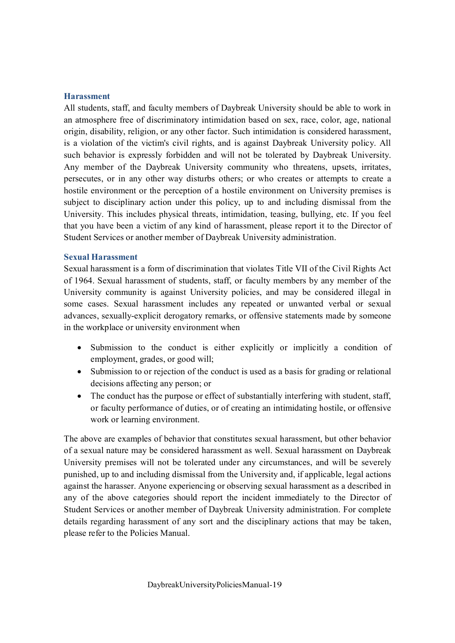#### **Harassment**

All students, staff, and faculty members of Daybreak University should be able to work in an atmosphere free of discriminatory intimidation based on sex, race, color, age, national origin, disability, religion, or any other factor. Such intimidation is considered harassment, is a violation of the victim's civil rights, and is against Daybreak University policy. All such behavior is expressly forbidden and will not be tolerated by Daybreak University. Any member of the Daybreak University community who threatens, upsets, irritates, persecutes, or in any other way disturbs others; or who creates or attempts to create a hostile environment or the perception of a hostile environment on University premises is subject to disciplinary action under this policy, up to and including dismissal from the University. This includes physical threats, intimidation, teasing, bullying, etc. If you feel that you have been a victim of any kind of harassment, please report it to the Director of Student Services or another member of Daybreak University administration.

#### **Sexual Harassment**

Sexual harassment is a form of discrimination that violates Title VII of the Civil Rights Act of 1964. Sexual harassment of students, staff, or faculty members by any member of the University community is against University policies, and may be considered illegal in some cases. Sexual harassment includes any repeated or unwanted verbal or sexual advances, sexually-explicit derogatory remarks, or offensive statements made by someone in the workplace or university environment when

- · Submission to the conduct is either explicitly or implicitly a condition of employment, grades, or good will;
- Submission to or rejection of the conduct is used as a basis for grading or relational decisions affecting any person; or
- · The conduct has the purpose or effect of substantially interfering with student, staff, or faculty performance of duties, or of creating an intimidating hostile, or offensive work or learning environment.

The above are examples of behavior that constitutes sexual harassment, but other behavior of a sexual nature may be considered harassment as well. Sexual harassment on Daybreak University premises will not be tolerated under any circumstances, and will be severely punished, up to and including dismissal from the University and, if applicable, legal actions against the harasser. Anyone experiencing or observing sexual harassment as a described in any of the above categories should report the incident immediately to the Director of Student Services or another member of Daybreak University administration. For complete details regarding harassment of any sort and the disciplinary actions that may be taken, please refer to the Policies Manual.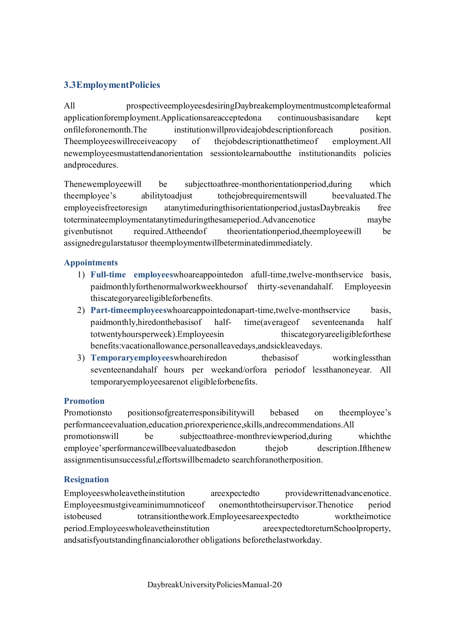# **3.3EmploymentPolicies**

All prospectiveemployeesdesiringDaybreakemploymentmustcompleteaformal applicationforemployment.Applicationsareacceptedona continuousbasisandare kept onfileforonemonth.The institutionwillprovideajobdescriptionforeach position. Theemployeeswillreceiveacopy of thejobdescriptionatthetimeof employment.All newemployeesmustattendanorientation sessiontolearnaboutthe institutionandits policies andprocedures.

Thenewemployeewill be subjecttoathree-monthorientationperiod,during which theemployee's abilitytoadjust tothejobrequirementswill beevaluated.The employeeisfreetoresign atanytimeduringthisorientationperiod,justasDaybreakis free toterminateemploymentatanytimeduringthesameperiod.Advancenotice maybe givenbutisnot required.Attheendof theorientationperiod,theemployeewill be assignedregularstatusor theemploymentwillbeterminatedimmediately.

#### **Appointments**

- 1) **Full-time employees**whoareappointedon afull-time,twelve-monthservice basis, paidmonthlyforthenormalworkweekhoursof thirty-sevenandahalf. Employeesin thiscategoryareeligibleforbenefits.
- 2) **Part-timeemployees**whoareappointedonapart-time,twelve-monthservice basis, paidmonthly,hiredonthebasisof half- time(averageof seventeenanda half totwentyhoursperweek).Employeesin thiscategoryareeligibleforthese benefits:vacationallowance,personalleavedays,andsickleavedays.
- 3) **Temporaryemployees**whoarehiredon thebasisof workinglessthan seventeenandahalf hours per weekand/orfora periodof lessthanoneyear. All temporaryemployeesarenot eligibleforbenefits.

#### **Promotion**

Promotionsto positionsofgreaterresponsibilitywill bebased on theemployee's performanceevaluation,education,priorexperience,skills,andrecommendations.All promotionswill be subjecttoathree-monthreviewperiod,during whichthe employee'sperformancewillbeevaluatedbasedon thejob description.Ifthenew assignmentisunsuccessful,effortswillbemadeto searchforanotherposition.

#### **Resignation**

Employeeswholeavetheinstitution areexpectedto providewrittenadvancenotice. Employeesmustgiveaminimumnoticeof onemonthtotheirsupervisor.Thenotice period istobeused totransitionthework.Employeesareexpectedto worktheirnotice period.Employeeswholeavetheinstitution areexpectedtoreturnSchoolproperty, andsatisfyoutstandingfinancialorother obligations beforethelastworkday.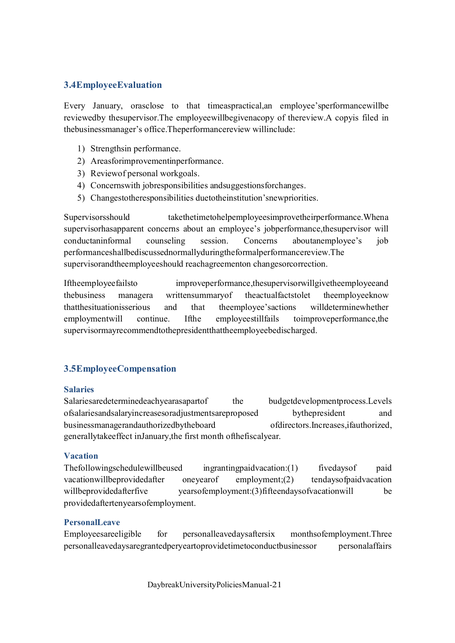## **3.4EmployeeEvaluation**

Every January, orasclose to that timeaspractical,an employee'sperformancewillbe reviewedby thesupervisor.The employeewillbegivenacopy of thereview.A copyis filed in thebusinessmanager's office.Theperformancereview willinclude:

- 1) Strengthsin performance.
- 2) Areasforimprovementinperformance.
- 3) Reviewof personal workgoals.
- 4) Concernswith jobresponsibilities andsuggestionsforchanges.
- 5) Changestotheresponsibilities duetotheinstitution'snewpriorities.

Supervisorsshould takethetimetohelpemployeesimprovetheirperformance. Whena supervisorhasapparent concerns about an employee's jobperformance,thesupervisor will conductaninformal counseling session. Concerns aboutanemployee's job performanceshallbediscussednormallyduringtheformalperformancereview.The supervisorandtheemployeeshould reachagreementon changesorcorrection.

Iftheemployeefailsto improveperformance,thesupervisorwillgivetheemployeeand thebusiness managera writtensummaryof theactualfactstolet theemployeeknow thatthesituationisserious and that theemployee'sactions willdeterminewhether employmentwill continue. Ifthe employeestillfails toimproveperformance,the supervisormayrecommendtothepresidentthattheemployeebedischarged.

# **3.5EmployeeCompensation**

#### **Salaries**

Salariesaredeterminedeachyearasapartof the budgetdevelopmentprocess.Levels ofsalariesandsalaryincreasesoradjustmentsareproposed bythepresident and businessmanagerandauthorizedbytheboard ofdirectors.Increases,ifauthorized, generallytakeeffect inJanuary,the first month ofthefiscalyear.

#### **Vacation**

Thefollowingschedulewillbeused ingrantingpaidvacation:(1) fivedaysof paid vacationwillbeprovidedafter oneyearof employment;(2) tendaysofpaidvacation willbeprovidedafterfive yearsofemployment:(3)fifteendaysofvacationwill be providedaftertenyearsofemployment.

#### **PersonalLeave**

Employeesareeligible for personalleavedaysaftersix monthsofemployment.Three personalleavedaysaregrantedperyeartoprovidetimetoconductbusinessor personalaffairs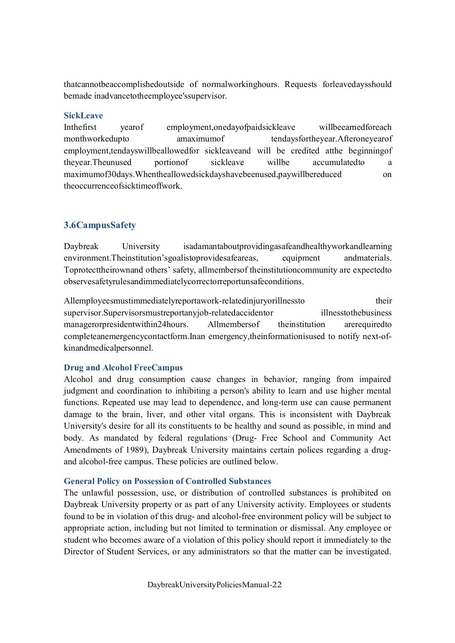thatcannotbeaccomplishedoutside of normalworkinghours. Requests forleavedaysshould bemade inadvancetotheemployee'ssupervisor.

#### **SickLeave**

Inthefirst yearof employment,onedayofpaidsickleave willbeearnedforeach monthworkedupto amaximumof tendaysfortheyear.Afteroneyearof employment,tendayswillbeallowedfor sickleaveand will be credited atthe beginningof theyear.Theunused portionof sickleave willbe accumulatedto a maximumof30days.Whentheallowedsickdayshavebeenused,paywillbereduced on theoccurrenceofsicktimeoffwork.

# **3.6CampusSafety**

Daybreak University isadamantaboutprovidingasafeandhealthyworkandlearning environment. Theinstitution's goal is to provide safe areas, equipment and materials. Toprotecttheirownand others' safety, allmembersof theinstitutioncommunity are expectedto observesafetyrulesandimmediatelycorrectorreportunsafeconditions.

Allemployeesmustimmediatelyreportawork-relatedinjuryorillnessto their supervisor.Supervisorsmustreportanyjob-relatedaccidentor illnesstothebusiness managerorpresidentwithin24hours. Allmembersof theinstitution arerequiredto completeanemergencycontactform.Inan emergency,theinformationisused to notify next-ofkinandmedicalpersonnel.

#### **Drug and Alcohol FreeCampus**

Alcohol and drug consumption cause changes in behavior, ranging from impaired judgment and coordination to inhibiting a person's ability to learn and use higher mental functions. Repeated use may lead to dependence, and long-term use can cause permanent damage to the brain, liver, and other vital organs. This is inconsistent with Daybreak University's desire for all its constituents to be healthy and sound as possible, in mind and body. As mandated by federal regulations (Drug- Free School and Community Act Amendments of 1989), Daybreak University maintains certain polices regarding a drugand alcohol-free campus. These policies are outlined below.

#### **General Policy on Possession of Controlled Substances**

The unlawful possession, use, or distribution of controlled substances is prohibited on Daybreak University property or as part of any University activity. Employees or students found to be in violation of this drug- and alcohol-free environment policy will be subject to appropriate action, including but not limited to termination or dismissal. Any employee or student who becomes aware of a violation of this policy should report it immediately to the Director of Student Services, or any administrators so that the matter can be investigated.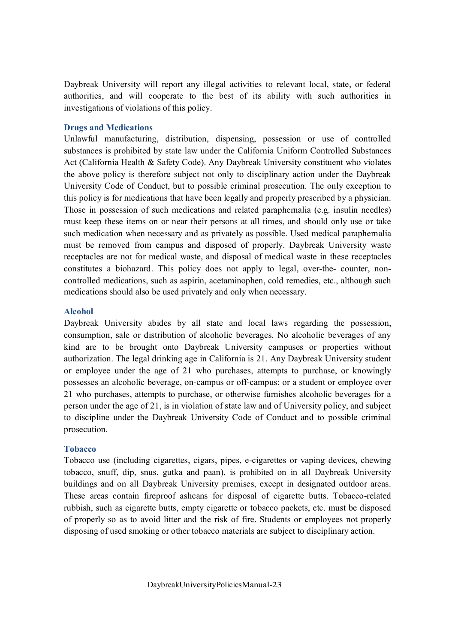Daybreak University will report any illegal activities to relevant local, state, or federal authorities, and will cooperate to the best of its ability with such authorities in investigations of violations of this policy.

#### **Drugs and Medications**

Unlawful manufacturing, distribution, dispensing, possession or use of controlled substances is prohibited by state law under the California Uniform Controlled Substances Act (California Health & Safety Code). Any Daybreak University constituent who violates the above policy is therefore subject not only to disciplinary action under the Daybreak University Code of Conduct, but to possible criminal prosecution. The only exception to this policy is for medications that have been legally and properly prescribed by a physician. Those in possession of such medications and related paraphernalia (e.g. insulin needles) must keep these items on or near their persons at all times, and should only use or take such medication when necessary and as privately as possible. Used medical paraphernalia must be removed from campus and disposed of properly. Daybreak University waste receptacles are not for medical waste, and disposal of medical waste in these receptacles constitutes a biohazard. This policy does not apply to legal, over-the- counter, noncontrolled medications, such as aspirin, acetaminophen, cold remedies, etc., although such medications should also be used privately and only when necessary.

#### **Alcohol**

Daybreak University abides by all state and local laws regarding the possession, consumption, sale or distribution of alcoholic beverages. No alcoholic beverages of any kind are to be brought onto Daybreak University campuses or properties without authorization. The legal drinking age in California is 21. Any Daybreak University student or employee under the age of 21 who purchases, attempts to purchase, or knowingly possesses an alcoholic beverage, on-campus or off-campus; or a student or employee over 21 who purchases, attempts to purchase, or otherwise furnishes alcoholic beverages for a person under the age of 21, is in violation of state law and of University policy, and subject to discipline under the Daybreak University Code of Conduct and to possible criminal prosecution.

#### **Tobacco**

Tobacco use (including cigarettes, cigars, pipes, e-cigarettes or vaping devices, chewing tobacco, snuff, dip, snus, gutka and paan), is prohibited on in all Daybreak University buildings and on all Daybreak University premises, except in designated outdoor areas. These areas contain fireproof ashcans for disposal of cigarette butts. Tobacco-related rubbish, such as cigarette butts, empty cigarette or tobacco packets, etc. must be disposed of properly so as to avoid litter and the risk of fire. Students or employees not properly disposing of used smoking or other tobacco materials are subject to disciplinary action.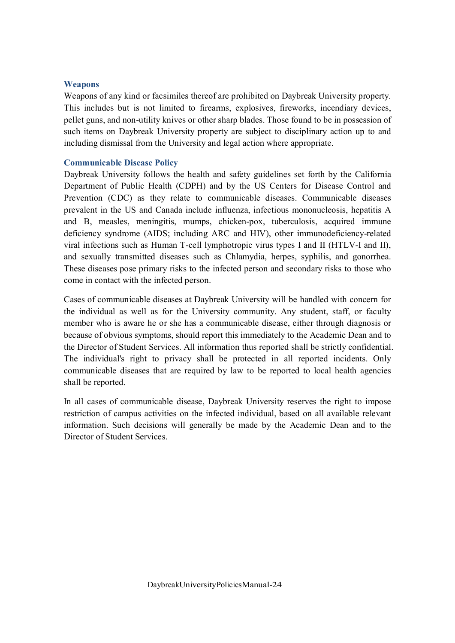#### **Weapons**

Weapons of any kind or facsimiles thereof are prohibited on Daybreak University property. This includes but is not limited to firearms, explosives, fireworks, incendiary devices, pellet guns, and non-utility knives or other sharp blades. Those found to be in possession of such items on Daybreak University property are subject to disciplinary action up to and including dismissal from the University and legal action where appropriate.

#### **Communicable Disease Policy**

Daybreak University follows the health and safety guidelines set forth by the California Department of Public Health (CDPH) and by the US Centers for Disease Control and Prevention (CDC) as they relate to communicable diseases. Communicable diseases prevalent in the US and Canada include influenza, infectious mononucleosis, hepatitis A and B, measles, meningitis, mumps, chicken-pox, tuberculosis, acquired immune deficiency syndrome (AIDS; including ARC and HIV), other immunodeficiency-related viral infections such as Human T-cell lymphotropic virus types I and II (HTLV-I and II), and sexually transmitted diseases such as Chlamydia, herpes, syphilis, and gonorrhea. These diseases pose primary risks to the infected person and secondary risks to those who come in contact with the infected person.

Cases of communicable diseases at Daybreak University will be handled with concern for the individual as well as for the University community. Any student, staff, or faculty member who is aware he or she has a communicable disease, either through diagnosis or because of obvious symptoms, should report this immediately to the Academic Dean and to the Director of Student Services. All information thus reported shall be strictly confidential. The individual's right to privacy shall be protected in all reported incidents. Only communicable diseases that are required by law to be reported to local health agencies shall be reported.

In all cases of communicable disease, Daybreak University reserves the right to impose restriction of campus activities on the infected individual, based on all available relevant information. Such decisions will generally be made by the Academic Dean and to the Director of Student Services.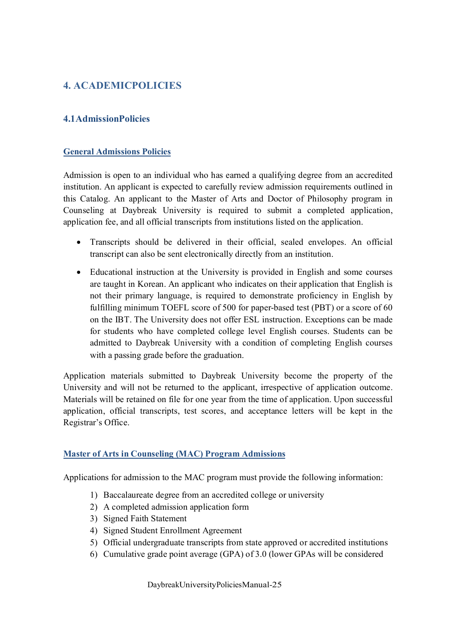# **4. ACADEMICPOLICIES**

# **4.1AdmissionPolicies**

#### **General Admissions Policies**

Admission is open to an individual who has earned a qualifying degree from an accredited institution. An applicant is expected to carefully review admission requirements outlined in this Catalog. An applicant to the Master of Arts and Doctor of Philosophy program in Counseling at Daybreak University is required to submit a completed application, application fee, and all official transcripts from institutions listed on the application.

- · Transcripts should be delivered in their official, sealed envelopes. An official transcript can also be sent electronically directly from an institution.
- · Educational instruction at the University is provided in English and some courses are taught in Korean. An applicant who indicates on their application that English is not their primary language, is required to demonstrate proficiency in English by fulfilling minimum TOEFL score of 500 for paper-based test (PBT) or a score of 60 on the IBT. The University does not offer ESL instruction. Exceptions can be made for students who have completed college level English courses. Students can be admitted to Daybreak University with a condition of completing English courses with a passing grade before the graduation.

Application materials submitted to Daybreak University become the property of the University and will not be returned to the applicant, irrespective of application outcome. Materials will be retained on file for one year from the time of application. Upon successful application, official transcripts, test scores, and acceptance letters will be kept in the Registrar's Office.

#### **Master of Arts in Counseling (MAC) Program Admissions**

Applications for admission to the MAC program must provide the following information:

- 1) Baccalaureate degree from an accredited college or university
- 2) A completed admission application form
- 3) Signed Faith Statement
- 4) Signed Student Enrollment Agreement
- 5) Official undergraduate transcripts from state approved or accredited institutions
- 6) Cumulative grade point average (GPA) of 3.0 (lower GPAs will be considered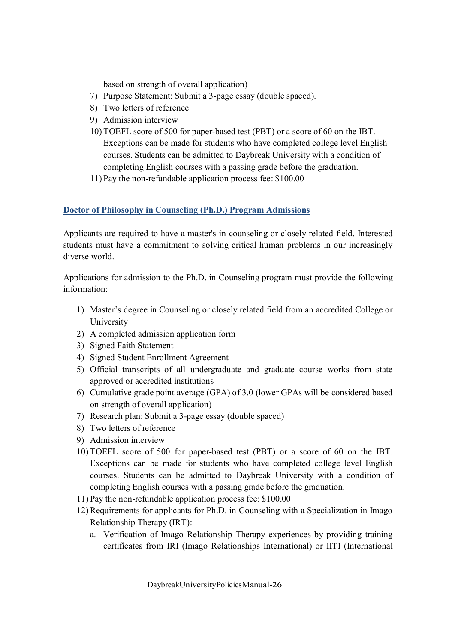based on strength of overall application)

- 7) Purpose Statement: Submit a 3-page essay (double spaced).
- 8) Two letters of reference
- 9) Admission interview
- 10) TOEFL score of 500 for paper-based test (PBT) or a score of 60 on the IBT. Exceptions can be made for students who have completed college level English courses. Students can be admitted to Daybreak University with a condition of completing English courses with a passing grade before the graduation.
- 11) Pay the non-refundable application process fee: \$100.00

#### **Doctor of Philosophy in Counseling (Ph.D.) Program Admissions**

Applicants are required to have a master's in counseling or closely related field. Interested students must have a commitment to solving critical human problems in our increasingly diverse world.

Applications for admission to the Ph.D. in Counseling program must provide the following information:

- 1) Master's degree in Counseling or closely related field from an accredited College or University
- 2) A completed admission application form
- 3) Signed Faith Statement
- 4) Signed Student Enrollment Agreement
- 5) Official transcripts of all undergraduate and graduate course works from state approved or accredited institutions
- 6) Cumulative grade point average (GPA) of 3.0 (lower GPAs will be considered based on strength of overall application)
- 7) Research plan: Submit a 3-page essay (double spaced)
- 8) Two letters of reference
- 9) Admission interview
- 10) TOEFL score of 500 for paper-based test (PBT) or a score of 60 on the IBT. Exceptions can be made for students who have completed college level English courses. Students can be admitted to Daybreak University with a condition of completing English courses with a passing grade before the graduation.
- 11) Pay the non-refundable application process fee: \$100.00
- 12)Requirements for applicants for Ph.D. in Counseling with a Specialization in Imago Relationship Therapy (IRT):
	- a. Verification of Imago Relationship Therapy experiences by providing training certificates from IRI (Imago Relationships International) or IITI (International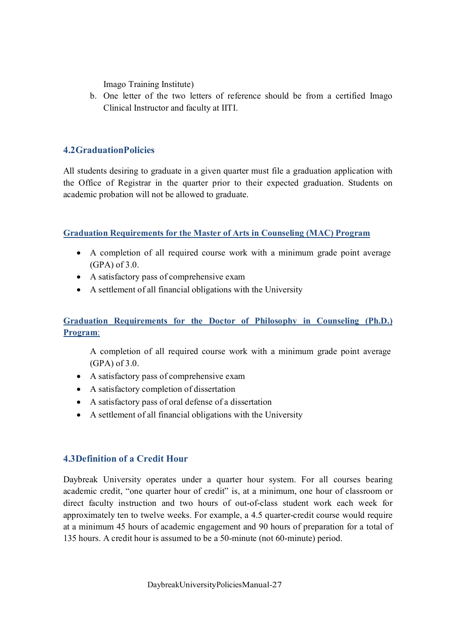Imago Training Institute)

b. One letter of the two letters of reference should be from a certified Imago Clinical Instructor and faculty at IITI.

## **4.2GraduationPolicies**

All students desiring to graduate in a given quarter must file a graduation application with the Office of Registrar in the quarter prior to their expected graduation. Students on academic probation will not be allowed to graduate.

**Graduation Requirements for the Master of Arts in Counseling (MAC) Program**

- · A completion of all required course work with a minimum grade point average (GPA) of 3.0.
- · A satisfactory pass of comprehensive exam
- · A settlement of all financial obligations with the University

# **Graduation Requirements for the Doctor of Philosophy in Counseling (Ph.D.) Program**:

A completion of all required course work with a minimum grade point average (GPA) of 3.0.

- · A satisfactory pass of comprehensive exam
- A satisfactory completion of dissertation
- · A satisfactory pass of oral defense of a dissertation
- · A settlement of all financial obligations with the University

# **4.3Definition of a Credit Hour**

Daybreak University operates under a quarter hour system. For all courses bearing academic credit, "one quarter hour of credit" is, at a minimum, one hour of classroom or direct faculty instruction and two hours of out-of-class student work each week for approximately ten to twelve weeks. For example, a 4.5 quarter-credit course would require at a minimum 45 hours of academic engagement and 90 hours of preparation for a total of 135 hours. A credit hour is assumed to be a 50-minute (not 60-minute) period.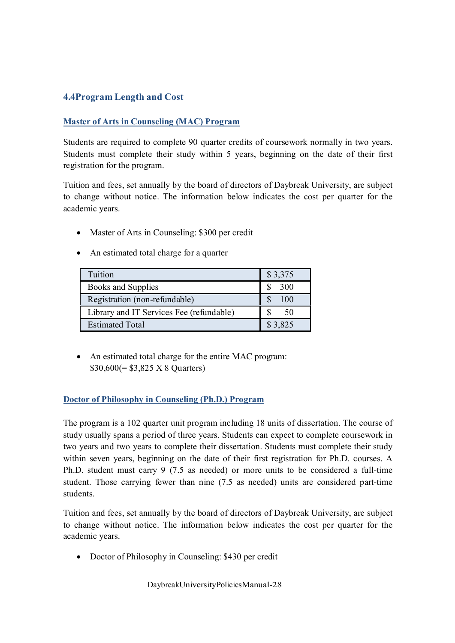# **4.4Program Length and Cost**

#### **Master of Arts in Counseling (MAC) Program**

Students are required to complete 90 quarter credits of coursework normally in two years. Students must complete their study within 5 years, beginning on the date of their first registration for the program.

Tuition and fees, set annually by the board of directors of Daybreak University, are subject to change without notice. The information below indicates the cost per quarter for the academic years.

- Master of Arts in Counseling: \$300 per credit
- An estimated total charge for a quarter

| Tuition                                  | \$3,375 |
|------------------------------------------|---------|
| Books and Supplies                       | 300     |
| Registration (non-refundable)            | 100     |
| Library and IT Services Fee (refundable) | 50      |
| <b>Estimated Total</b>                   | \$3,825 |

• An estimated total charge for the entire MAC program: \$30,600(= \$3,825 X 8 Quarters)

#### **Doctor of Philosophy in Counseling (Ph.D.) Program**

The program is a 102 quarter unit program including 18 units of dissertation. The course of study usually spans a period of three years. Students can expect to complete coursework in two years and two years to complete their dissertation. Students must complete their study within seven years, beginning on the date of their first registration for Ph.D. courses. A Ph.D. student must carry 9 (7.5 as needed) or more units to be considered a full-time student. Those carrying fewer than nine (7.5 as needed) units are considered part-time students.

Tuition and fees, set annually by the board of directors of Daybreak University, are subject to change without notice. The information below indicates the cost per quarter for the academic years.

• Doctor of Philosophy in Counseling: \$430 per credit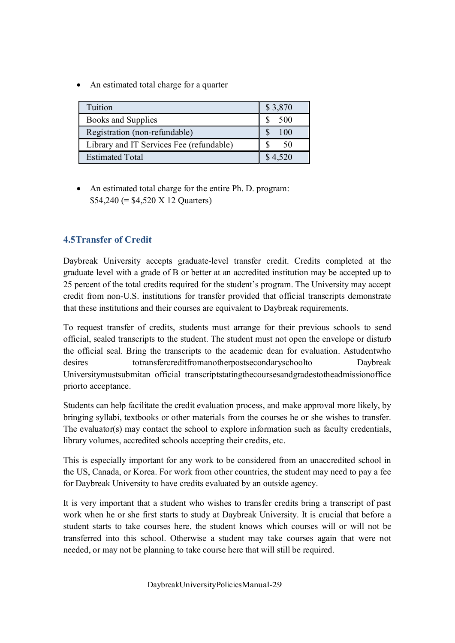• An estimated total charge for a quarter

| Tuition                                  | \$3,870      |
|------------------------------------------|--------------|
| Books and Supplies                       | 500          |
| Registration (non-refundable)            | 100          |
| Library and IT Services Fee (refundable) | $50^{\circ}$ |
| <b>Estimated Total</b>                   | \$4,520      |

• An estimated total charge for the entire Ph. D. program: \$54,240 (= \$4,520 X 12 Quarters)

# **4.5Transfer of Credit**

Daybreak University accepts graduate-level transfer credit. Credits completed at the graduate level with a grade of B or better at an accredited institution may be accepted up to 25 percent of the total credits required for the student's program. The University may accept credit from non-U.S. institutions for transfer provided that official transcripts demonstrate that these institutions and their courses are equivalent to Daybreak requirements.

To request transfer of credits, students must arrange for their previous schools to send official, sealed transcripts to the student. The student must not open the envelope or disturb the official seal. Bring the transcripts to the academic dean for evaluation. Astudentwho desires totransfercreditfromanotherpostsecondaryschoolto Daybreak Universitymustsubmitan official transcriptstatingthecoursesandgradestotheadmissionoffice priorto acceptance.

Students can help facilitate the credit evaluation process, and make approval more likely, by bringing syllabi, textbooks or other materials from the courses he or she wishes to transfer. The evaluator(s) may contact the school to explore information such as faculty credentials, library volumes, accredited schools accepting their credits, etc.

This is especially important for any work to be considered from an unaccredited school in the US, Canada, or Korea. For work from other countries, the student may need to pay a fee for Daybreak University to have credits evaluated by an outside agency.

It is very important that a student who wishes to transfer credits bring a transcript of past work when he or she first starts to study at Daybreak University. It is crucial that before a student starts to take courses here, the student knows which courses will or will not be transferred into this school. Otherwise a student may take courses again that were not needed, or may not be planning to take course here that will still be required.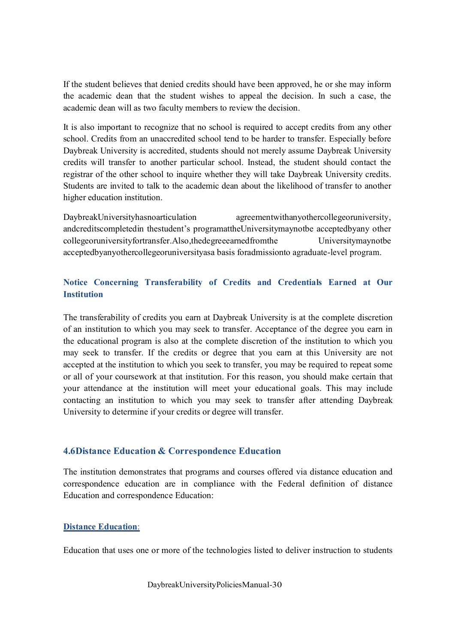If the student believes that denied credits should have been approved, he or she may inform the academic dean that the student wishes to appeal the decision. In such a case, the academic dean will as two faculty members to review the decision.

It is also important to recognize that no school is required to accept credits from any other school. Credits from an unaccredited school tend to be harder to transfer. Especially before Daybreak University is accredited, students should not merely assume Daybreak University credits will transfer to another particular school. Instead, the student should contact the registrar of the other school to inquire whether they will take Daybreak University credits. Students are invited to talk to the academic dean about the likelihood of transfer to another higher education institution.

DaybreakUniversityhasnoarticulation agreementwithanyothercollegeoruniversity, andcreditscompletedin thestudent's programattheUniversitymaynotbe acceptedbyany other collegeoruniversityfortransfer.Also,thedegreeearnedfromthe Universitymaynotbe acceptedbyanyothercollegeoruniversityasa basis foradmissionto agraduate-level program.

# **Notice Concerning Transferability of Credits and Credentials Earned at Our Institution**

The transferability of credits you earn at Daybreak University is at the complete discretion of an institution to which you may seek to transfer. Acceptance of the degree you earn in the educational program is also at the complete discretion of the institution to which you may seek to transfer. If the credits or degree that you earn at this University are not accepted at the institution to which you seek to transfer, you may be required to repeat some or all of your coursework at that institution. For this reason, you should make certain that your attendance at the institution will meet your educational goals. This may include contacting an institution to which you may seek to transfer after attending Daybreak University to determine if your credits or degree will transfer.

#### **4.6Distance Education & Correspondence Education**

The institution demonstrates that programs and courses offered via distance education and correspondence education are in compliance with the Federal definition of distance Education and correspondence Education:

#### **Distance Education**:

Education that uses one or more of the technologies listed to deliver instruction to students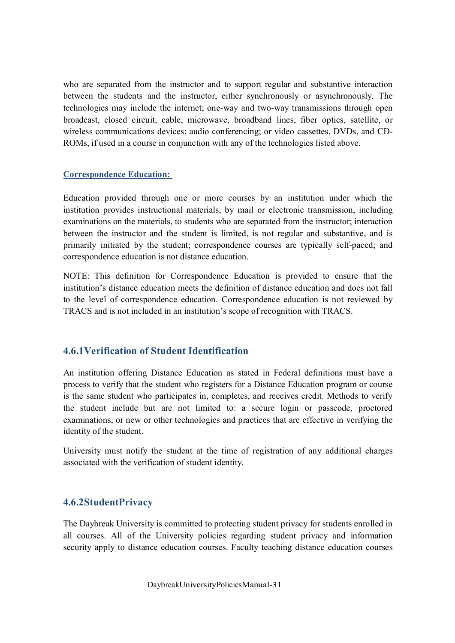who are separated from the instructor and to support regular and substantive interaction between the students and the instructor, either synchronously or asynchronously. The technologies may include the internet; one-way and two-way transmissions through open broadcast, closed circuit, cable, microwave, broadband lines, fiber optics, satellite, or wireless communications devices; audio conferencing; or video cassettes, DVDs, and CD-ROMs, if used in a course in conjunction with any of the technologies listed above.

#### **Correspondence Education:**

Education provided through one or more courses by an institution under which the institution provides instructional materials, by mail or electronic transmission, including examinations on the materials, to students who are separated from the instructor; interaction between the instructor and the student is limited, is not regular and substantive, and is primarily initiated by the student; correspondence courses are typically self-paced; and correspondence education is not distance education.

NOTE: This definition for Correspondence Education is provided to ensure that the institution's distance education meets the definition of distance education and does not fall to the level of correspondence education. Correspondence education is not reviewed by TRACS and is not included in an institution's scope of recognition with TRACS.

# **4.6.1Verification of Student Identification**

An institution offering Distance Education as stated in Federal definitions must have a process to verify that the student who registers for a Distance Education program or course is the same student who participates in, completes, and receives credit. Methods to verify the student include but are not limited to: a secure login or passcode, proctored examinations, or new or other technologies and practices that are effective in verifying the identity of the student.

University must notify the student at the time of registration of any additional charges associated with the verification of student identity.

# **4.6.2StudentPrivacy**

The Daybreak University is committed to protecting student privacy for students enrolled in all courses. All of the University policies regarding student privacy and information security apply to distance education courses. Faculty teaching distance education courses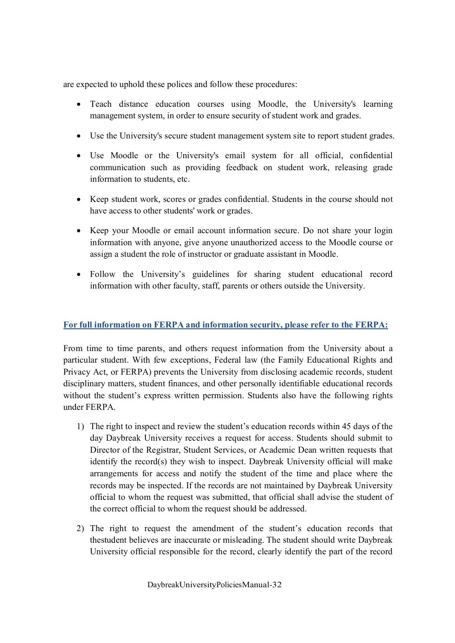are expected to uphold these polices and follow these procedures:

- Teach distance education courses using Moodle, the University's learning management system, in order to ensure security of student work and grades.
- Use the University's secure student management system site to report student grades.
- · Use Moodle or the University's email system for all official, confidential communication such as providing feedback on student work, releasing grade information to students, etc.
- · Keep student work, scores or grades confidential. Students in the course should not have access to other students' work or grades.
- · Keep your Moodle or email account information secure. Do not share your login information with anyone, give anyone unauthorized access to the Moodle course or assign a student the role of instructor or graduate assistant in Moodle.
- · Follow the University's guidelines for sharing student educational record information with other faculty, staff, parents or others outside the University.

# **For full information on FERPA and information security, please refer to the FERPA:**

From time to time parents, and others request information from the University about a particular student. With few exceptions, Federal law (the Family Educational Rights and Privacy Act, or FERPA) prevents the University from disclosing academic records, student disciplinary matters, student finances, and other personally identifiable educational records without the student's express written permission. Students also have the following rights under FERPA.

- 1) The right to inspect and review the student's education records within 45 days of the day Daybreak University receives a request for access. Students should submit to Director of the Registrar, Student Services, or Academic Dean written requests that identify the record(s) they wish to inspect. Daybreak University official will make arrangements for access and notify the student of the time and place where the records may be inspected. If the records are not maintained by Daybreak University official to whom the request was submitted, that official shall advise the student of the correct official to whom the request should be addressed.
- 2) The right to request the amendment of the student's education records that thestudent believes are inaccurate or misleading. The student should write Daybreak University official responsible for the record, clearly identify the part of the record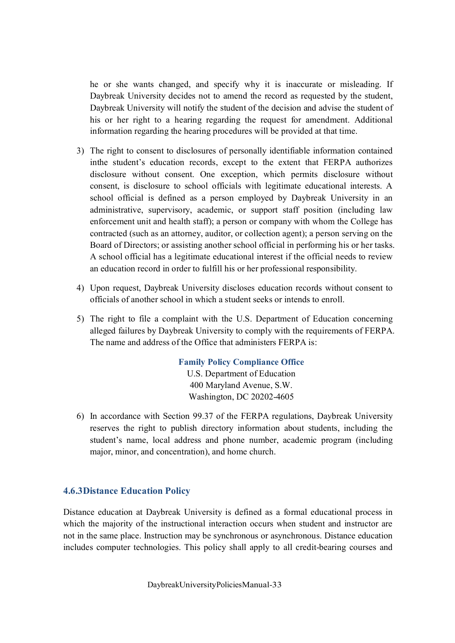he or she wants changed, and specify why it is inaccurate or misleading. If Daybreak University decides not to amend the record as requested by the student, Daybreak University will notify the student of the decision and advise the student of his or her right to a hearing regarding the request for amendment. Additional information regarding the hearing procedures will be provided at that time.

- 3) The right to consent to disclosures of personally identifiable information contained inthe student's education records, except to the extent that FERPA authorizes disclosure without consent. One exception, which permits disclosure without consent, is disclosure to school officials with legitimate educational interests. A school official is defined as a person employed by Daybreak University in an administrative, supervisory, academic, or support staff position (including law enforcement unit and health staff); a person or company with whom the College has contracted (such as an attorney, auditor, or collection agent); a person serving on the Board of Directors; or assisting another school official in performing his or her tasks. A school official has a legitimate educational interest if the official needs to review an education record in order to fulfill his or her professional responsibility.
- 4) Upon request, Daybreak University discloses education records without consent to officials of another school in which a student seeks or intends to enroll.
- 5) The right to file a complaint with the U.S. Department of Education concerning alleged failures by Daybreak University to comply with the requirements of FERPA. The name and address of the Office that administers FERPA is:

#### **Family Policy Compliance Office**

U.S. Department of Education 400 Maryland Avenue, S.W. Washington, DC 20202-4605

6) In accordance with Section 99.37 of the FERPA regulations, Daybreak University reserves the right to publish directory information about students, including the student's name, local address and phone number, academic program (including major, minor, and concentration), and home church.

# **4.6.3Distance Education Policy**

Distance education at Daybreak University is defined as a formal educational process in which the majority of the instructional interaction occurs when student and instructor are not in the same place. Instruction may be synchronous or asynchronous. Distance education includes computer technologies. This policy shall apply to all credit-bearing courses and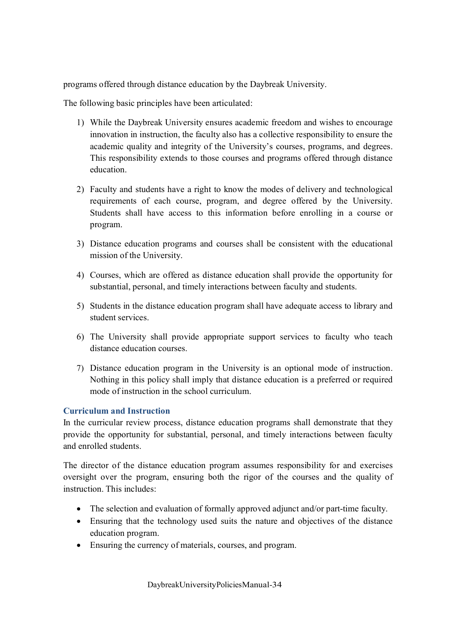programs offered through distance education by the Daybreak University.

The following basic principles have been articulated:

- 1) While the Daybreak University ensures academic freedom and wishes to encourage innovation in instruction, the faculty also has a collective responsibility to ensure the academic quality and integrity of the University's courses, programs, and degrees. This responsibility extends to those courses and programs offered through distance education.
- 2) Faculty and students have a right to know the modes of delivery and technological requirements of each course, program, and degree offered by the University. Students shall have access to this information before enrolling in a course or program.
- 3) Distance education programs and courses shall be consistent with the educational mission of the University.
- 4) Courses, which are offered as distance education shall provide the opportunity for substantial, personal, and timely interactions between faculty and students.
- 5) Students in the distance education program shall have adequate access to library and student services.
- 6) The University shall provide appropriate support services to faculty who teach distance education courses.
- 7) Distance education program in the University is an optional mode of instruction. Nothing in this policy shall imply that distance education is a preferred or required mode of instruction in the school curriculum.

#### **Curriculum and Instruction**

In the curricular review process, distance education programs shall demonstrate that they provide the opportunity for substantial, personal, and timely interactions between faculty and enrolled students.

The director of the distance education program assumes responsibility for and exercises oversight over the program, ensuring both the rigor of the courses and the quality of instruction. This includes:

- The selection and evaluation of formally approved adjunct and/or part-time faculty.
- Ensuring that the technology used suits the nature and objectives of the distance education program.
- · Ensuring the currency of materials, courses, and program.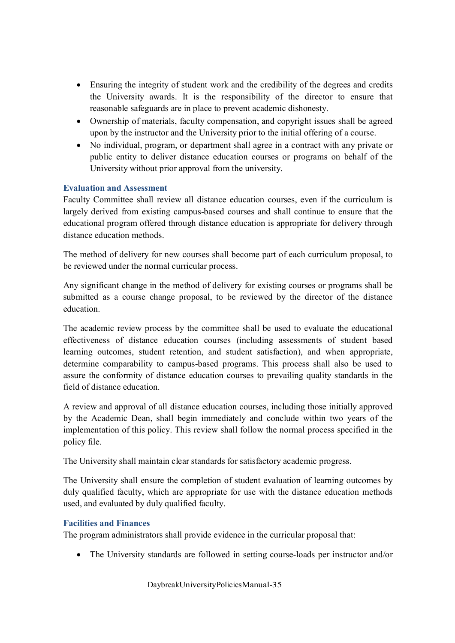- Ensuring the integrity of student work and the credibility of the degrees and credits the University awards. It is the responsibility of the director to ensure that reasonable safeguards are in place to prevent academic dishonesty.
- · Ownership of materials, faculty compensation, and copyright issues shall be agreed upon by the instructor and the University prior to the initial offering of a course.
- · No individual, program, or department shall agree in a contract with any private or public entity to deliver distance education courses or programs on behalf of the University without prior approval from the university.

#### **Evaluation and Assessment**

Faculty Committee shall review all distance education courses, even if the curriculum is largely derived from existing campus-based courses and shall continue to ensure that the educational program offered through distance education is appropriate for delivery through distance education methods.

The method of delivery for new courses shall become part of each curriculum proposal, to be reviewed under the normal curricular process.

Any significant change in the method of delivery for existing courses or programs shall be submitted as a course change proposal, to be reviewed by the director of the distance education.

The academic review process by the committee shall be used to evaluate the educational effectiveness of distance education courses (including assessments of student based learning outcomes, student retention, and student satisfaction), and when appropriate, determine comparability to campus-based programs. This process shall also be used to assure the conformity of distance education courses to prevailing quality standards in the field of distance education.

A review and approval of all distance education courses, including those initially approved by the Academic Dean, shall begin immediately and conclude within two years of the implementation of this policy. This review shall follow the normal process specified in the policy file.

The University shall maintain clear standards for satisfactory academic progress.

The University shall ensure the completion of student evaluation of learning outcomes by duly qualified faculty, which are appropriate for use with the distance education methods used, and evaluated by duly qualified faculty.

#### **Facilities and Finances**

The program administrators shall provide evidence in the curricular proposal that:

· The University standards are followed in setting course-loads per instructor and/or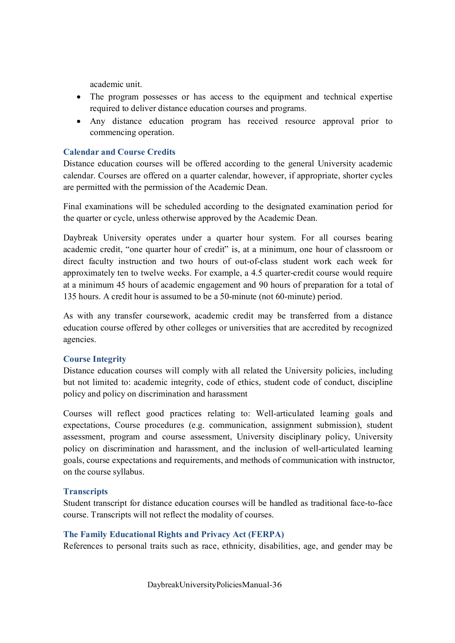academic unit.

- · The program possesses or has access to the equipment and technical expertise required to deliver distance education courses and programs.
- · Any distance education program has received resource approval prior to commencing operation.

#### **Calendar and Course Credits**

Distance education courses will be offered according to the general University academic calendar. Courses are offered on a quarter calendar, however, if appropriate, shorter cycles are permitted with the permission of the Academic Dean.

Final examinations will be scheduled according to the designated examination period for the quarter or cycle, unless otherwise approved by the Academic Dean.

Daybreak University operates under a quarter hour system. For all courses bearing academic credit, "one quarter hour of credit" is, at a minimum, one hour of classroom or direct faculty instruction and two hours of out-of-class student work each week for approximately ten to twelve weeks. For example, a 4.5 quarter-credit course would require at a minimum 45 hours of academic engagement and 90 hours of preparation for a total of 135 hours. A credit hour is assumed to be a 50-minute (not 60-minute) period.

As with any transfer coursework, academic credit may be transferred from a distance education course offered by other colleges or universities that are accredited by recognized agencies.

#### **Course Integrity**

Distance education courses will comply with all related the University policies, including but not limited to: academic integrity, code of ethics, student code of conduct, discipline policy and policy on discrimination and harassment

Courses will reflect good practices relating to: Well-articulated learning goals and expectations, Course procedures (e.g. communication, assignment submission), student assessment, program and course assessment, University disciplinary policy, University policy on discrimination and harassment, and the inclusion of well-articulated learning goals, course expectations and requirements, and methods of communication with instructor, on the course syllabus.

#### **Transcripts**

Student transcript for distance education courses will be handled as traditional face-to-face course. Transcripts will not reflect the modality of courses.

#### **The Family Educational Rights and Privacy Act (FERPA)**

References to personal traits such as race, ethnicity, disabilities, age, and gender may be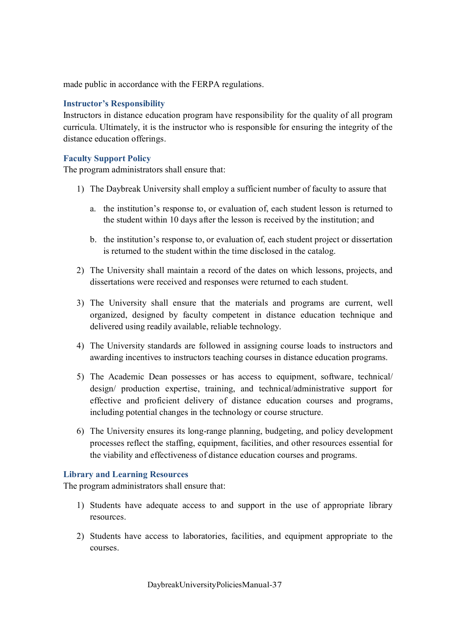made public in accordance with the FERPA regulations.

#### **Instructor's Responsibility**

Instructors in distance education program have responsibility for the quality of all program curricula. Ultimately, it is the instructor who is responsible for ensuring the integrity of the distance education offerings.

#### **Faculty Support Policy**

The program administrators shall ensure that:

- 1) The Daybreak University shall employ a sufficient number of faculty to assure that
	- a. the institution's response to, or evaluation of, each student lesson is returned to the student within 10 days after the lesson is received by the institution; and
	- b. the institution's response to, or evaluation of, each student project or dissertation is returned to the student within the time disclosed in the catalog.
- 2) The University shall maintain a record of the dates on which lessons, projects, and dissertations were received and responses were returned to each student.
- 3) The University shall ensure that the materials and programs are current, well organized, designed by faculty competent in distance education technique and delivered using readily available, reliable technology.
- 4) The University standards are followed in assigning course loads to instructors and awarding incentives to instructors teaching courses in distance education programs.
- 5) The Academic Dean possesses or has access to equipment, software, technical/ design/ production expertise, training, and technical/administrative support for effective and proficient delivery of distance education courses and programs, including potential changes in the technology or course structure.
- 6) The University ensures its long-range planning, budgeting, and policy development processes reflect the staffing, equipment, facilities, and other resources essential for the viability and effectiveness of distance education courses and programs.

#### **Library and Learning Resources**

The program administrators shall ensure that:

- 1) Students have adequate access to and support in the use of appropriate library resources.
- 2) Students have access to laboratories, facilities, and equipment appropriate to the courses.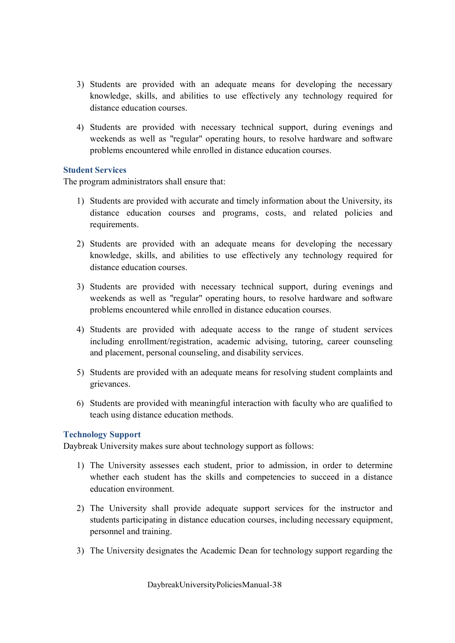- 3) Students are provided with an adequate means for developing the necessary knowledge, skills, and abilities to use effectively any technology required for distance education courses.
- 4) Students are provided with necessary technical support, during evenings and weekends as well as "regular" operating hours, to resolve hardware and software problems encountered while enrolled in distance education courses.

### **Student Services**

The program administrators shall ensure that:

- 1) Students are provided with accurate and timely information about the University, its distance education courses and programs, costs, and related policies and requirements.
- 2) Students are provided with an adequate means for developing the necessary knowledge, skills, and abilities to use effectively any technology required for distance education courses.
- 3) Students are provided with necessary technical support, during evenings and weekends as well as "regular" operating hours, to resolve hardware and software problems encountered while enrolled in distance education courses.
- 4) Students are provided with adequate access to the range of student services including enrollment/registration, academic advising, tutoring, career counseling and placement, personal counseling, and disability services.
- 5) Students are provided with an adequate means for resolving student complaints and grievances.
- 6) Students are provided with meaningful interaction with faculty who are qualified to teach using distance education methods.

#### **Technology Support**

Daybreak University makes sure about technology support as follows:

- 1) The University assesses each student, prior to admission, in order to determine whether each student has the skills and competencies to succeed in a distance education environment.
- 2) The University shall provide adequate support services for the instructor and students participating in distance education courses, including necessary equipment, personnel and training.
- 3) The University designates the Academic Dean for technology support regarding the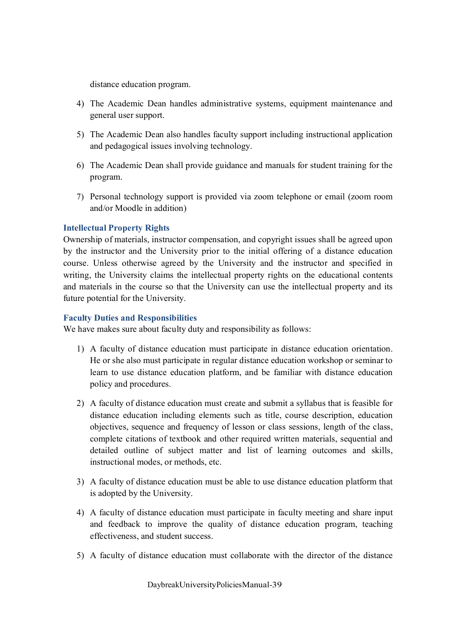distance education program.

- 4) The Academic Dean handles administrative systems, equipment maintenance and general user support.
- 5) The Academic Dean also handles faculty support including instructional application and pedagogical issues involving technology.
- 6) The Academic Dean shall provide guidance and manuals for student training for the program.
- 7) Personal technology support is provided via zoom telephone or email (zoom room and/or Moodle in addition)

### **Intellectual Property Rights**

Ownership of materials, instructor compensation, and copyright issues shall be agreed upon by the instructor and the University prior to the initial offering of a distance education course. Unless otherwise agreed by the University and the instructor and specified in writing, the University claims the intellectual property rights on the educational contents and materials in the course so that the University can use the intellectual property and its future potential for the University.

### **Faculty Duties and Responsibilities**

We have makes sure about faculty duty and responsibility as follows:

- 1) A faculty of distance education must participate in distance education orientation. He or she also must participate in regular distance education workshop or seminar to learn to use distance education platform, and be familiar with distance education policy and procedures.
- 2) A faculty of distance education must create and submit a syllabus that is feasible for distance education including elements such as title, course description, education objectives, sequence and frequency of lesson or class sessions, length of the class, complete citations of textbook and other required written materials, sequential and detailed outline of subject matter and list of learning outcomes and skills, instructional modes, or methods, etc.
- 3) A faculty of distance education must be able to use distance education platform that is adopted by the University.
- 4) A faculty of distance education must participate in faculty meeting and share input and feedback to improve the quality of distance education program, teaching effectiveness, and student success.
- 5) A faculty of distance education must collaborate with the director of the distance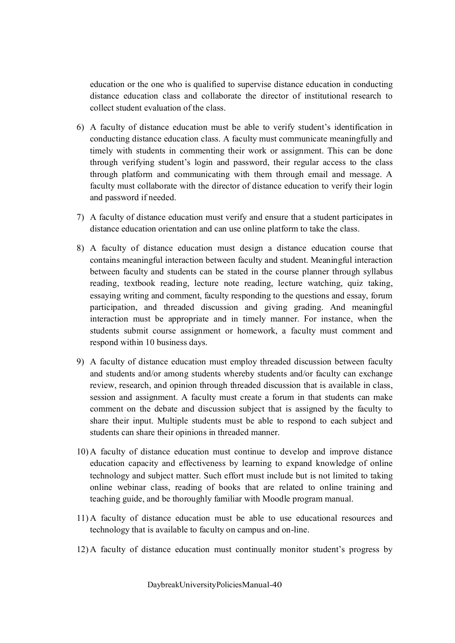education or the one who is qualified to supervise distance education in conducting distance education class and collaborate the director of institutional research to collect student evaluation of the class.

- 6) A faculty of distance education must be able to verify student's identification in conducting distance education class. A faculty must communicate meaningfully and timely with students in commenting their work or assignment. This can be done through verifying student's login and password, their regular access to the class through platform and communicating with them through email and message. A faculty must collaborate with the director of distance education to verify their login and password if needed.
- 7) A faculty of distance education must verify and ensure that a student participates in distance education orientation and can use online platform to take the class.
- 8) A faculty of distance education must design a distance education course that contains meaningful interaction between faculty and student. Meaningful interaction between faculty and students can be stated in the course planner through syllabus reading, textbook reading, lecture note reading, lecture watching, quiz taking, essaying writing and comment, faculty responding to the questions and essay, forum participation, and threaded discussion and giving grading. And meaningful interaction must be appropriate and in timely manner. For instance, when the students submit course assignment or homework, a faculty must comment and respond within 10 business days.
- 9) A faculty of distance education must employ threaded discussion between faculty and students and/or among students whereby students and/or faculty can exchange review, research, and opinion through threaded discussion that is available in class, session and assignment. A faculty must create a forum in that students can make comment on the debate and discussion subject that is assigned by the faculty to share their input. Multiple students must be able to respond to each subject and students can share their opinions in threaded manner.
- 10) A faculty of distance education must continue to develop and improve distance education capacity and effectiveness by learning to expand knowledge of online technology and subject matter. Such effort must include but is not limited to taking online webinar class, reading of books that are related to online training and teaching guide, and be thoroughly familiar with Moodle program manual.
- 11) A faculty of distance education must be able to use educational resources and technology that is available to faculty on campus and on-line.
- 12) A faculty of distance education must continually monitor student's progress by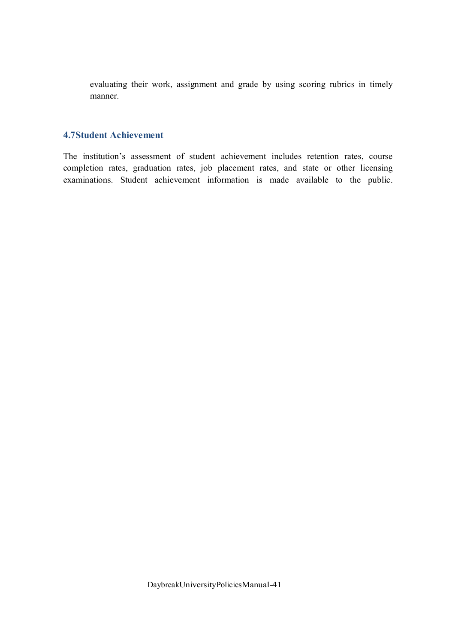evaluating their work, assignment and grade by using scoring rubrics in timely manner.

### **4.7Student Achievement**

The institution's assessment of student achievement includes retention rates, course completion rates, graduation rates, job placement rates, and state or other licensing examinations. Student achievement information is made available to the public.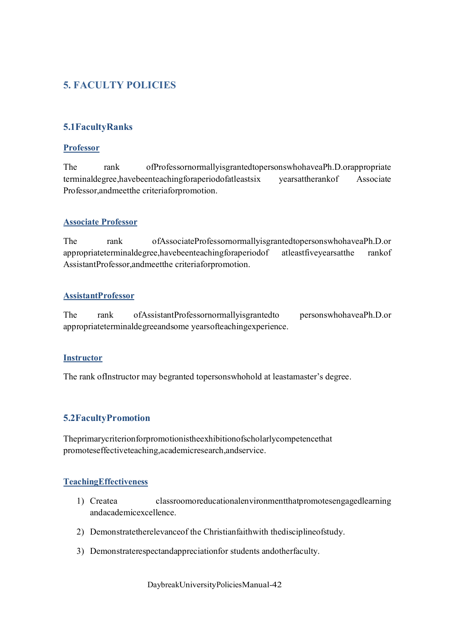# **5. FACULTY POLICIES**

# **5.1FacultyRanks**

#### **Professor**

The rank ofProfessornormallyisgrantedtopersonswhohaveaPh.D.orappropriate terminaldegree,havebeenteachingforaperiodofatleastsix yearsattherankof Associate Professor,andmeetthe criteriaforpromotion.

### **Associate Professor**

The rank ofAssociateProfessornormallyisgrantedtopersonswhohaveaPh.D.or appropriateterminaldegree,havebeenteachingforaperiodof atleastfiveyearsatthe rankof AssistantProfessor,andmeetthe criteriaforpromotion.

### **AssistantProfessor**

The rank ofAssistantProfessornormallyisgrantedto personswhohaveaPh.D.or appropriateterminaldegreeandsome yearsofteachingexperience.

#### **Instructor**

The rank ofInstructor may begranted topersonswhohold at leastamaster's degree.

### **5.2FacultyPromotion**

Theprimarycriterionforpromotionistheexhibitionofscholarlycompetencethat promoteseffectiveteaching,academicresearch,andservice.

### **TeachingEffectiveness**

- 1) Createa classroomoreducationalenvironmentthatpromotesengagedlearning andacademicexcellence.
- 2) Demonstratetherelevanceof the Christianfaithwith thedisciplineofstudy.
- 3) Demonstraterespectandappreciationfor students andotherfaculty.

DaybreakUniversityPoliciesManual-42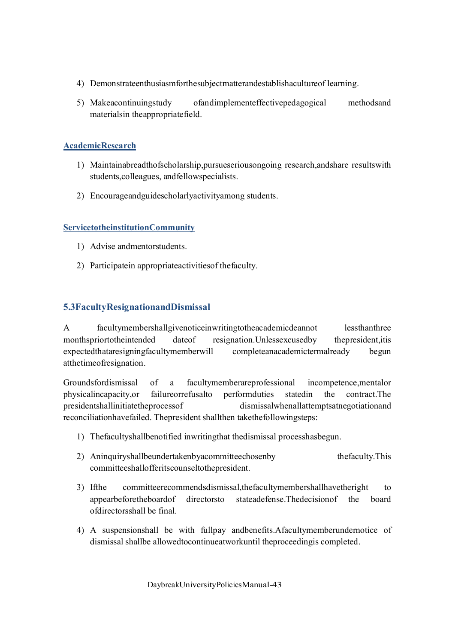- 4) Demonstrateenthusiasmforthesubjectmatterandestablishacultureof learning.
- 5) Makeacontinuingstudy ofandimplementeffectivepedagogical methodsand materialsin theappropriatefield.

# **AcademicResearch**

- 1) Maintainabreadthofscholarship,pursueseriousongoing research,andshare resultswith students,colleagues, andfellowspecialists.
- 2) Encourageandguidescholarlyactivityamong students.

# **ServicetotheinstitutionCommunity**

- 1) Advise andmentorstudents.
- 2) Participatein appropriateactivitiesof thefaculty.

# **5.3FacultyResignationandDismissal**

A facultymembershallgivenoticeinwritingtotheacademicdeannot lessthanthree monthspriortotheintended dateof resignation.Unlessexcusedby thepresident,itis expectedthataresigningfacultymemberwill completeanacademictermalready begun atthetimeofresignation.

Groundsfordismissal of a facultymemberareprofessional incompetence,mentalor physicalincapacity,or failureorrefusalto performduties statedin the contract.The presidentshallinitiatetheprocessof dismissalwhenallattemptsatnegotiationand reconciliationhavefailed. Thepresident shallthen takethefollowingsteps:

- 1) Thefacultyshallbenotified inwritingthat thedismissal processhasbegun.
- 2) Aninquiryshallbeundertakenbyacommitteechosenby thefaculty.This committeeshallofferitscounseltothepresident.
- 3) If the committeerecommendsdismissal, the facultymembershall have the right to appearbeforetheboardof directorsto stateadefense.Thedecisionof the board ofdirectorsshall be final.
- 4) A suspensionshall be with fullpay andbenefits.Afacultymemberundernotice of dismissal shallbe allowedtocontinueatworkuntil theproceedingis completed.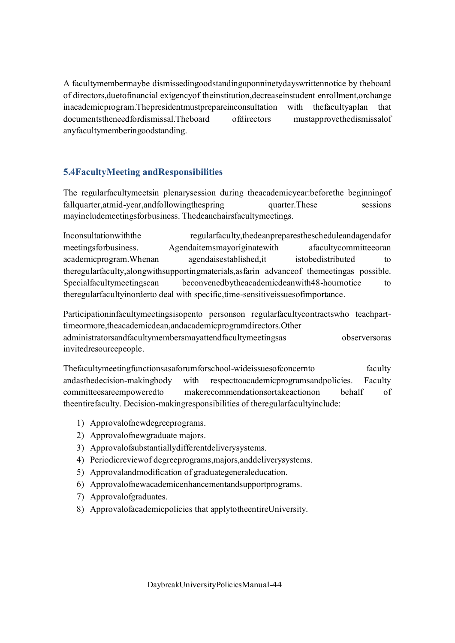A facultymembermaybe dismissedingoodstandinguponninetydayswrittennotice by theboard of directors,duetofinancial exigencyof theinstitution,decreaseinstudent enrollment,orchange inacademicprogram.Thepresidentmustprepareinconsultation with thefacultyaplan that documentstheneedfordismissal.Theboard ofdirectors mustapprovethedismissalof anyfacultymemberingoodstanding.

# **5.4FacultyMeeting andResponsibilities**

The regularfacultymeetsin plenarysession during theacademicyear:beforethe beginningof fallquarter, at mid-year, and following the spring quarter. These sessions mayincludemeetingsforbusiness. Thedeanchairsfacultymeetings.

Inconsultationwiththe regularfaculty,thedeanpreparesthescheduleandagendafor meetingsforbusiness. Agendaitemsmayoriginatewith afacultycommitteeoran academicprogram. Whenan agendaisestablished, it istobedistributed to theregularfaculty,alongwithsupportingmaterials,asfarin advanceof themeetingas possible. Specialfacultymeetingscan beconvenedbytheacademicdeanwith48-hournotice to theregularfacultyinorderto deal with specific,time-sensitiveissuesofimportance.

Participationinfacultymeetingsisopento personson regularfacultycontractswho teachparttimeormore,theacademicdean,andacademicprogramdirectors.Other administratorsandfacultymembersmayattendfacultymeetingsas observersoras invitedresourcepeople.

Thefacultymeetingfunctionsasaforumforschool-wideissuesofconcernto faculty andasthedecision-makingbody with respecttoacademicprogramsandpolicies. Faculty committeesareempoweredto makerecommendationsortakeactionon behalf of theentirefaculty. Decision-makingresponsibilities of theregularfacultyinclude:

- 1) Approvalofnewdegreeprograms.
- 2) Approvalofnewgraduate majors.
- 3) Approvalofsubstantiallydifferentdeliverysystems.
- 4) Periodicreviewof degreeprograms,majors,anddeliverysystems.
- 5) Approvalandmodification of graduategeneraleducation.
- 6) Approvalofnewacademicenhancementandsupportprograms.
- 7) Approvalofgraduates.
- 8) Approvalofacademicpolicies that applytotheentireUniversity.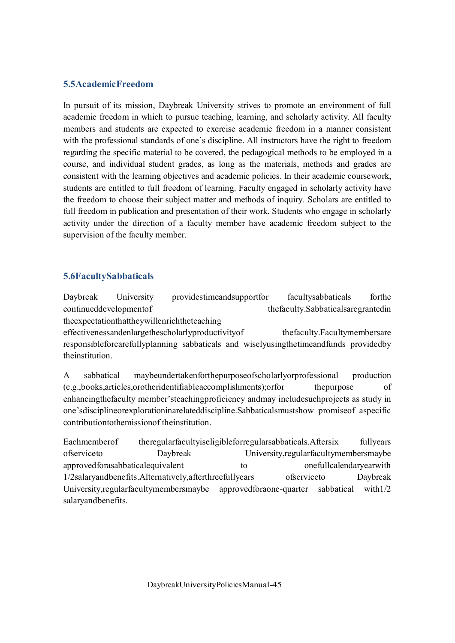### **5.5AcademicFreedom**

In pursuit of its mission, Daybreak University strives to promote an environment of full academic freedom in which to pursue teaching, learning, and scholarly activity. All faculty members and students are expected to exercise academic freedom in a manner consistent with the professional standards of one's discipline. All instructors have the right to freedom regarding the specific material to be covered, the pedagogical methods to be employed in a course, and individual student grades, as long as the materials, methods and grades are consistent with the learning objectives and academic policies. In their academic coursework, students are entitled to full freedom of learning. Faculty engaged in scholarly activity have the freedom to choose their subject matter and methods of inquiry. Scholars are entitled to full freedom in publication and presentation of their work. Students who engage in scholarly activity under the direction of a faculty member have academic freedom subject to the supervision of the faculty member.

# **5.6FacultySabbaticals**

Daybreak University providestimeandsupportfor facultysabbaticals forthe continueddevelopmentof thefaculty.Sabbaticalsaregrantedin theexpectationthattheywillenrichtheteaching effectivenessandenlargethescholarlyproductivityof thefaculty.Facultymembersare responsibleforcarefullyplanning sabbaticals and wiselyusingthetimeandfunds providedby theinstitution.

A sabbatical maybeundertakenforthepurposeofscholarlyorprofessional production (e.g.,books,articles,orotheridentifiableaccomplishments);orfor thepurpose of enhancingthefaculty member'steachingproficiency andmay includesuchprojects as study in one'sdisciplineorexplorationinarelateddiscipline.Sabbaticalsmustshow promiseof aspecific contributiontothemissionof theinstitution.

Eachmemberof theregularfacultyiseligibleforregularsabbaticals.Aftersix fullyears ofserviceto Daybreak University,regularfacultymembersmaybe approvedforasabbaticalequivalent to onefullcalendaryearwith 1/2salaryandbenefits.Alternatively,afterthreefullyears ofserviceto Daybreak University,regularfacultymembersmaybe approvedforaone-quarter sabbatical with1/2 salaryandbenefits.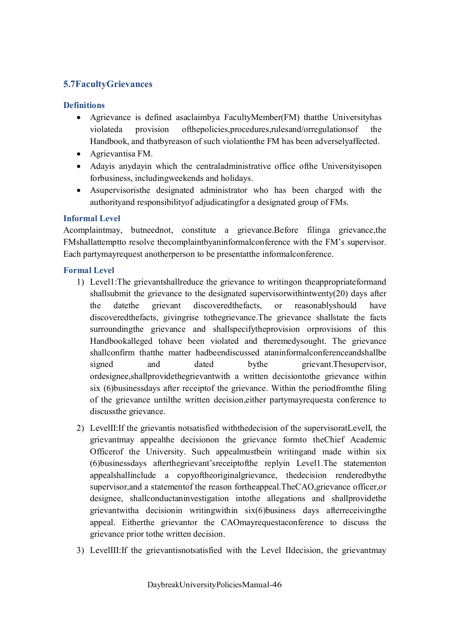# **5.7FacultyGrievances**

### **Definitions**

- · Agrievance is defined asaclaimbya FacultyMember(FM) thatthe Universityhas violateda provision ofthepolicies,procedures,rulesand/orregulationsof the Handbook, and thatbyreason of such violationthe FM has been adverselyaffected.
- · Agrievantisa FM.
- · Adayis anydayin which the centraladministrative office ofthe Universityisopen forbusiness, includingweekends and holidays.
- · Asupervisoristhe designated administrator who has been charged with the authorityand responsibilityof adjudicatingfor a designated group of FMs.

### **Informal Level**

Acomplaintmay, butneednot, constitute a grievance.Before filinga grievance,the FMshallattemptto resolve thecomplaintbyaninformalconference with the FM's supervisor. Each partymayrequest anotherperson to be presentatthe informalconference.

### **Formal Level**

- 1) Level1:The grievantshallreduce the grievance to writingon theappropriateformand shallsubmit the grievance to the designated supervisorwithintwenty(20) days after the datethe grievant discoveredthefacts, or reasonablyshould have discoveredthefacts, givingrise tothegrievance.The grievance shallstate the facts surroundingthe grievance and shallspecifytheprovision orprovisions of this Handbookalleged tohave been violated and theremedysought. The grievance shallconfirm thatthe matter hadbeendiscussed ataninformalconferenceandshallbe signed and dated bythe grievant.Thesupervisor, ordesignee,shallprovidethegrievantwith a written decisiontothe grievance within six (6)businessdays after receiptof the grievance. Within the periodfromthe filing of the grievance untilthe written decision,either partymayrequesta conference to discussthe grievance.
- 2) LevelII:If the grievantis notsatisfied withthedecision of the supervisoratLevelI, the grievantmay appealthe decisionon the grievance formto theChief Academic Officerof the University. Such appealmustbein writingand made within six (6)businessdays afterthegrievant'sreceiptofthe replyin Level1.The statementon appealshallinclude a copyoftheoriginalgrievance, thedecision renderedbythe supervisor,and a statementof the reason fortheappeal.TheCAO,grievance officer,or designee, shallconductaninvestigation intothe allegations and shallprovidethe grievantwitha decisionin writingwithin six(6)business days afterreceivingthe appeal. Eitherthe grievantor the CAOmayrequestaconference to discuss the grievance prior tothe written decision.
- 3) LevelIII:If the grievantisnotsatisfied with the Level IIdecision, the grievantmay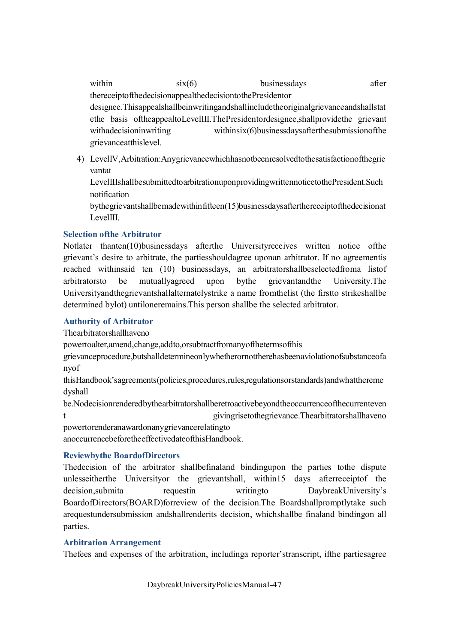within  $six(6)$  businessdays after thereceiptofthedecisionappealthedecisiontothePresidentor designee.Thisappealshallbeinwritingandshallincludetheoriginalgrievanceandshallstat ethe basis oftheappealtoLevelIII.ThePresidentordesignee,shallprovidethe grievant withadecisioninwriting withinsix(6)businessdaysafterthesubmissionofthe grievanceatthislevel.

4) LevelIV,Arbitration:Anygrievancewhichhasnotbeenresolvedtothesatisfactionofthegrie vantat LevelIIIshallbesubmittedtoarbitrationuponprovidingwrittennoticetothePresident.Such notification

bythegrievantshallbemadewithinfifteen(15)businessdaysafterthereceiptofthedecisionat LevelIII.

### **Selection ofthe Arbitrator**

Notlater thanten(10)businessdays afterthe Universityreceives written notice ofthe grievant's desire to arbitrate, the partiesshouldagree uponan arbitrator. If no agreementis reached withinsaid ten (10) businessdays, an arbitratorshallbeselectedfroma listof arbitratorsto be mutuallyagreed upon bythe grievantandthe University.The Universityandthegrievantshallalternatelystrike a name fromthelist (the firstto strikeshallbe determined bylot) untiloneremains.This person shallbe the selected arbitrator.

# **Authority of Arbitrator**

Thearbitratorshallhaveno

powertoalter,amend,change,addto,orsubtractfromanyofthetermsofthis

grievanceprocedure,butshalldetermineonlywhetherornottherehasbeenaviolationofsubstanceofa nyof

thisHandbook'sagreements(policies,procedures,rules,regulationsorstandards)andwhatthereme dyshall

be.Nodecisionrenderedbythearbitratorshallberetroactivebeyondtheoccurrenceofthecurrenteven t givingrisetothegrievance.Thearbitratorshallhaveno powertorenderanawardonanygrievancerelatingto

anoccurrencebeforetheeffectivedateofthisHandbook.

# **Reviewbythe BoardofDirectors**

Thedecision of the arbitrator shallbefinaland bindingupon the parties tothe dispute unlesseitherthe Universityor the grievantshall, within15 days afterreceiptof the decision,submita requestin writingto DaybreakUniversity's BoardofDirectors(BOARD)forreview of the decision.The Boardshallpromptlytake such arequestundersubmission andshallrenderits decision, whichshallbe finaland bindingon all parties.

# **Arbitration Arrangement**

Thefees and expenses of the arbitration, includinga reporter'stranscript, ifthe partiesagree

DaybreakUniversityPoliciesManual-47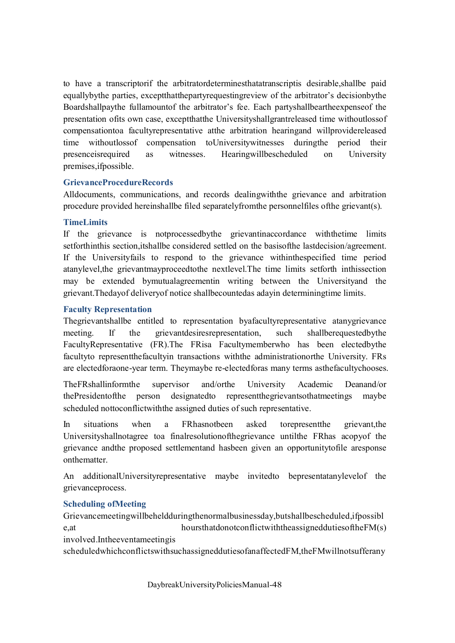to have a transcriptorif the arbitratordeterminesthatatranscriptis desirable, shallbe paid equallybythe parties, exceptthatthepartyrequestingreview of the arbitrator's decisionbythe Boardshallpaythe fullamountof the arbitrator's fee. Each partyshallbeartheexpenseof the presentation ofits own case, exceptthatthe Universityshallgrantreleased time withoutlossof compensationtoa facultyrepresentative atthe arbitration hearingand willprovidereleased time withoutlossof compensation toUniversitywitnesses duringthe period their presenceisrequired as witnesses. Hearingwillbescheduled on University premises,ifpossible.

### **GrievanceProcedureRecords**

Alldocuments, communications, and records dealingwiththe grievance and arbitration procedure provided hereinshallbe filed separatelyfromthe personnelfiles ofthe grievant(s).

### **TimeLimits**

If the grievance is notprocessedbythe grievantinaccordance withthetime limits setforthinthis section,itshallbe considered settled on the basisofthe lastdecision/agreement. If the Universityfails to respond to the grievance withinthespecified time period atanylevel,the grievantmayproceedtothe nextlevel.The time limits setforth inthissection may be extended bymutualagreementin writing between the Universityand the grievant.Thedayof deliveryof notice shallbecountedas adayin determiningtime limits.

### **Faculty Representation**

Thegrievantshallbe entitled to representation byafacultyrepresentative atanygrievance meeting. If the grievant desires representation, such shall be requested by the FacultyRepresentative (FR).The FRisa Facultymemberwho has been electedbythe facultyto representthefacultyin transactions withthe administrationorthe University. FRs are electedforaone-year term. Theymaybe re-electedforas many terms asthefacultychooses.

TheFRshallinformthe supervisor and/orthe University Academic Deanand/or thePresidentofthe person designatedto representthegrievantsothatmeetings maybe scheduled nottoconflictwiththe assigned duties of such representative.

In situations when a FRhasnotbeen asked torepresentthe grievant,the Universityshallnotagree toa finalresolutionofthegrievance untilthe FRhas acopyof the grievance andthe proposed settlementand hasbeen given an opportunitytofile aresponse onthematter.

An additionalUniversityrepresentative maybe invitedto bepresentatanylevelof the grievanceprocess.

#### **Scheduling ofMeeting**

Grievancemeetingwillbeheldduringthenormalbusinessday,butshallbescheduled,ifpossibl e,at hoursthatdonotconflictwiththeassigneddutiesoftheFM(s) involved.Intheeventameetingis

scheduledwhichconflictswithsuchassigneddutiesofanaffectedFM,theFMwillnotsufferany

DaybreakUniversityPoliciesManual-48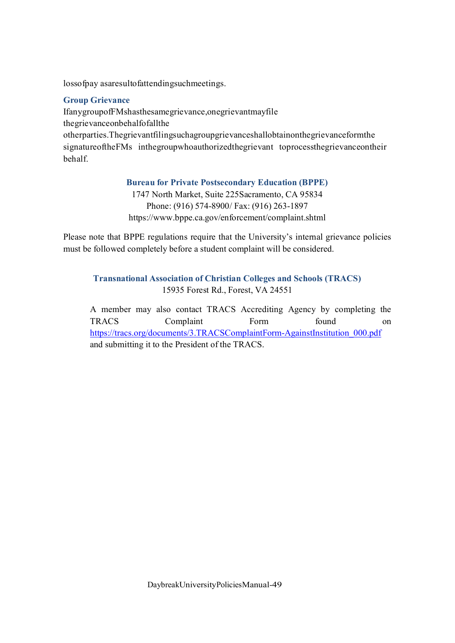lossofpay asaresultofattendingsuchmeetings.

### **Group Grievance**

IfanygroupofFMshasthesamegrievance,onegrievantmayfile thegrievanceonbehalfofallthe otherparties.Thegrievantfilingsuchagroupgrievanceshallobtainonthegrievanceformthe signatureoftheFMs inthegroupwhoauthorizedthegrievant toprocessthegrievanceontheir behalf.

### **Bureau for Private Postsecondary Education (BPPE)**

1747 North Market, Suite 225Sacramento, CA 95834 Phone: (916) 574-8900/ Fax: (916) 263-1897 https://www.bppe.ca.gov/enforcement/complaint.shtml

Please note that BPPE regulations require that the University's internal grievance policies must be followed completely before a student complaint will be considered.

# **Transnational Association of Christian Colleges and Schools (TRACS)** 15935 Forest Rd., Forest, VA 24551

A member may also contact TRACS Accrediting Agency by completing the TRACS Complaint Form found on https://tracs.org/documents/3.TRACSComplaintForm-AgainstInstitution\_000.pdf and submitting it to the President of the TRACS.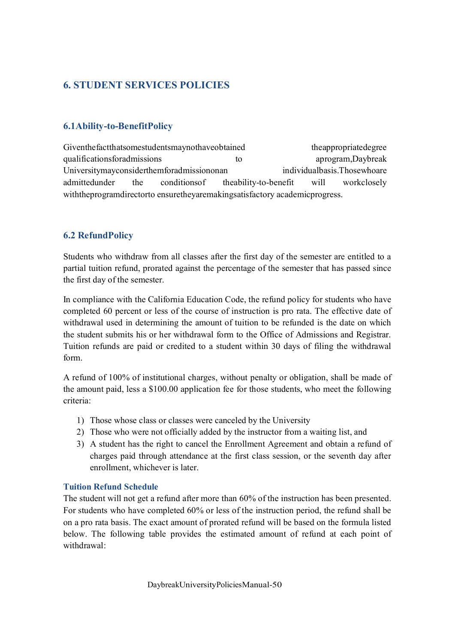# **6. STUDENT SERVICES POLICIES**

# **6.1Ability-to-BenefitPolicy**

Giventhefactthatsomestudentsmaynothaveobtained theappropriatedegree qualificationsforadmissions to aprogram,Daybreak Universitymayconsiderthemforadmissiononan individualbasis.Thosewhoare admittedunder the conditionsof theability-to-benefit will workclosely withtheprogramdirectorto ensuretheyaremakingsatisfactory academicprogress.

# **6.2 RefundPolicy**

Students who withdraw from all classes after the first day of the semester are entitled to a partial tuition refund, prorated against the percentage of the semester that has passed since the first day of the semester.

In compliance with the California Education Code, the refund policy for students who have completed 60 percent or less of the course of instruction is pro rata. The effective date of withdrawal used in determining the amount of tuition to be refunded is the date on which the student submits his or her withdrawal form to the Office of Admissions and Registrar. Tuition refunds are paid or credited to a student within 30 days of filing the withdrawal form.

A refund of 100% of institutional charges, without penalty or obligation, shall be made of the amount paid, less a \$100.00 application fee for those students, who meet the following criteria:

- 1) Those whose class or classes were canceled by the University
- 2) Those who were not officially added by the instructor from a waiting list, and
- 3) A student has the right to cancel the Enrollment Agreement and obtain a refund of charges paid through attendance at the first class session, or the seventh day after enrollment, whichever is later.

### **Tuition Refund Schedule**

The student will not get a refund after more than 60% of the instruction has been presented. For students who have completed 60% or less of the instruction period, the refund shall be on a pro rata basis. The exact amount of prorated refund will be based on the formula listed below. The following table provides the estimated amount of refund at each point of withdrawal: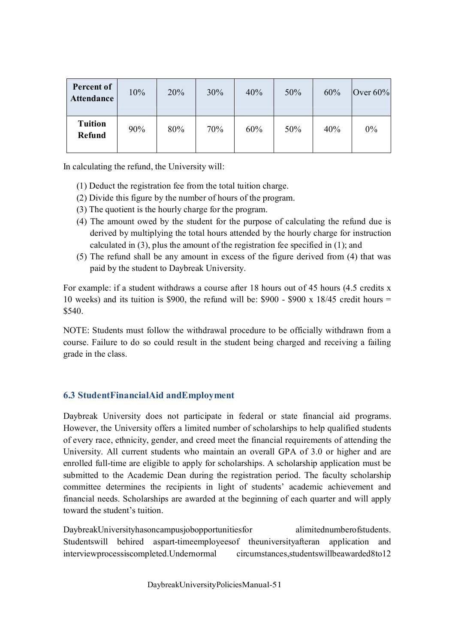| Percent of<br><b>Attendance</b> | 10% | 20% | 30% | 40% | 50% | 60% | Over $60\%$ |
|---------------------------------|-----|-----|-----|-----|-----|-----|-------------|
| <b>Tuition</b><br><b>Refund</b> | 90% | 80% | 70% | 60% | 50% | 40% | 0%          |

In calculating the refund, the University will:

- (1) Deduct the registration fee from the total tuition charge.
- (2) Divide this figure by the number of hours of the program.
- (3) The quotient is the hourly charge for the program.
- (4) The amount owed by the student for the purpose of calculating the refund due is derived by multiplying the total hours attended by the hourly charge for instruction calculated in (3), plus the amount of the registration fee specified in (1); and
- (5) The refund shall be any amount in excess of the figure derived from (4) that was paid by the student to Daybreak University.

For example: if a student withdraws a course after 18 hours out of 45 hours (4.5 credits x 10 weeks) and its tuition is \$900, the refund will be: \$900 - \$900 x 18/45 credit hours = \$540.

NOTE: Students must follow the withdrawal procedure to be officially withdrawn from a course. Failure to do so could result in the student being charged and receiving a failing grade in the class.

# **6.3 StudentFinancialAid andEmployment**

Daybreak University does not participate in federal or state financial aid programs. However, the University offers a limited number of scholarships to help qualified students of every race, ethnicity, gender, and creed meet the financial requirements of attending the University. All current students who maintain an overall GPA of 3.0 or higher and are enrolled full-time are eligible to apply for scholarships. A scholarship application must be submitted to the Academic Dean during the registration period. The faculty scholarship committee determines the recipients in light of students' academic achievement and financial needs. Scholarships are awarded at the beginning of each quarter and will apply toward the student's tuition.

DaybreakUniversityhasoncampusjobopportunitiesfor alimitednumberofstudents. Studentswill behired aspart-timeemployeesof theuniversityafteran application and interviewprocessiscompleted.Undernormal circumstances,studentswillbeawarded8to12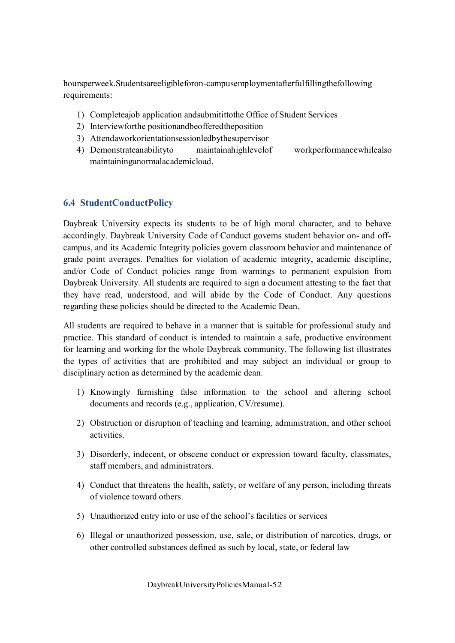hoursperweek.Studentsareeligibleforon-campusemploymentafterfulfillingthefollowing requirements:

- 1) Completeajob application andsubmitittothe Office of Student Services
- 2) Interviewforthe positionandbeofferedtheposition
- 3) Attendaworkorientationsessionledbythesupervisor
- 4) Demonstrateanabilityto maintainahighlevelof workperformancewhilealso maintaininganormalacademicload.

# **6.4 StudentConductPolicy**

Daybreak University expects its students to be of high moral character, and to behave accordingly. Daybreak University Code of Conduct governs student behavior on- and offcampus, and its Academic Integrity policies govern classroom behavior and maintenance of grade point averages. Penalties for violation of academic integrity, academic discipline, and/or Code of Conduct policies range from warnings to permanent expulsion from Daybreak University. All students are required to sign a document attesting to the fact that they have read, understood, and will abide by the Code of Conduct. Any questions regarding these policies should be directed to the Academic Dean.

All students are required to behave in a manner that is suitable for professional study and practice. This standard of conduct is intended to maintain a safe, productive environment for learning and working for the whole Daybreak community. The following list illustrates the types of activities that are prohibited and may subject an individual or group to disciplinary action as determined by the academic dean.

- 1) Knowingly furnishing false information to the school and altering school documents and records (e.g., application, CV/resume).
- 2) Obstruction or disruption of teaching and learning, administration, and other school activities.
- 3) Disorderly, indecent, or obscene conduct or expression toward faculty, classmates, staff members, and administrators.
- 4) Conduct that threatens the health, safety, or welfare of any person, including threats of violence toward others.
- 5) Unauthorized entry into or use of the school's facilities or services
- 6) Illegal or unauthorized possession, use, sale, or distribution of narcotics, drugs, or other controlled substances defined as such by local, state, or federal law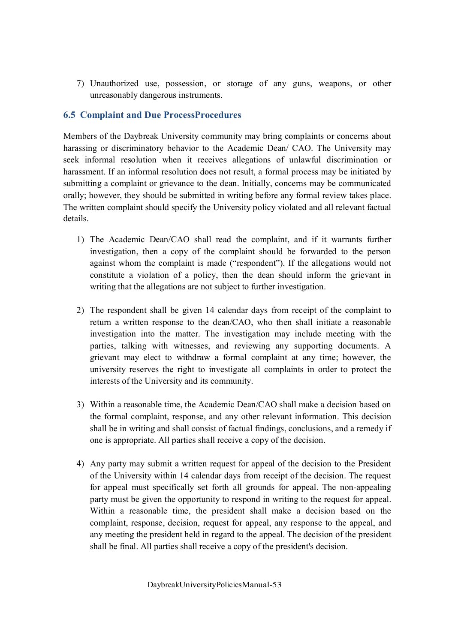7) Unauthorized use, possession, or storage of any guns, weapons, or other unreasonably dangerous instruments.

# **6.5 Complaint and Due ProcessProcedures**

Members of the Daybreak University community may bring complaints or concerns about harassing or discriminatory behavior to the Academic Dean/ CAO. The University may seek informal resolution when it receives allegations of unlawful discrimination or harassment. If an informal resolution does not result, a formal process may be initiated by submitting a complaint or grievance to the dean. Initially, concerns may be communicated orally; however, they should be submitted in writing before any formal review takes place. The written complaint should specify the University policy violated and all relevant factual details.

- 1) The Academic Dean/CAO shall read the complaint, and if it warrants further investigation, then a copy of the complaint should be forwarded to the person against whom the complaint is made ("respondent"). If the allegations would not constitute a violation of a policy, then the dean should inform the grievant in writing that the allegations are not subject to further investigation.
- 2) The respondent shall be given 14 calendar days from receipt of the complaint to return a written response to the dean/CAO, who then shall initiate a reasonable investigation into the matter. The investigation may include meeting with the parties, talking with witnesses, and reviewing any supporting documents. A grievant may elect to withdraw a formal complaint at any time; however, the university reserves the right to investigate all complaints in order to protect the interests of the University and its community.
- 3) Within a reasonable time, the Academic Dean/CAO shall make a decision based on the formal complaint, response, and any other relevant information. This decision shall be in writing and shall consist of factual findings, conclusions, and a remedy if one is appropriate. All parties shall receive a copy of the decision.
- 4) Any party may submit a written request for appeal of the decision to the President of the University within 14 calendar days from receipt of the decision. The request for appeal must specifically set forth all grounds for appeal. The non-appealing party must be given the opportunity to respond in writing to the request for appeal. Within a reasonable time, the president shall make a decision based on the complaint, response, decision, request for appeal, any response to the appeal, and any meeting the president held in regard to the appeal. The decision of the president shall be final. All parties shall receive a copy of the president's decision.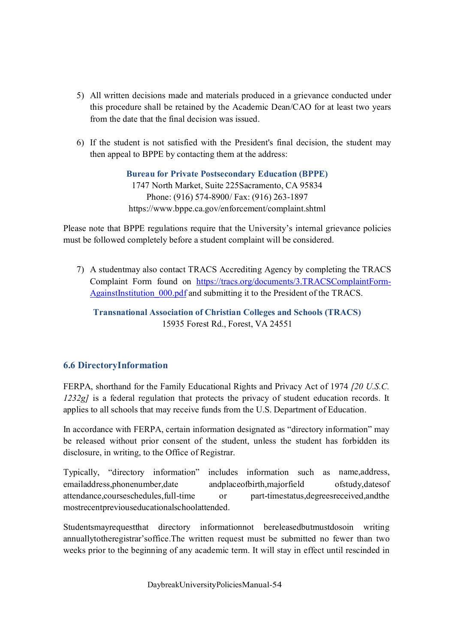- 5) All written decisions made and materials produced in a grievance conducted under this procedure shall be retained by the Academic Dean/CAO for at least two years from the date that the final decision was issued.
- 6) If the student is not satisfied with the President's final decision, the student may then appeal to BPPE by contacting them at the address:

**Bureau for Private Postsecondary Education (BPPE)** 1747 North Market, Suite 225Sacramento, CA 95834 Phone: (916) 574-8900/ Fax: (916) 263-1897 https://www.bppe.ca.gov/enforcement/complaint.shtml

Please note that BPPE regulations require that the University's internal grievance policies must be followed completely before a student complaint will be considered.

7) A studentmay also contact TRACS Accrediting Agency by completing the TRACS Complaint Form found on https://tracs.org/documents/3.TRACSComplaintForm-AgainstInstitution\_000.pdf and submitting it to the President of the TRACS.

### **Transnational Association of Christian Colleges and Schools (TRACS)** 15935 Forest Rd., Forest, VA 24551

# **6.6 DirectoryInformation**

FERPA, shorthand for the Family Educational Rights and Privacy Act of 1974 *[20 U.S.C. 1232g]* is a federal regulation that protects the privacy of student education records. It applies to all schools that may receive funds from the U.S. Department of Education.

In accordance with FERPA, certain information designated as "directory information" may be released without prior consent of the student, unless the student has forbidden its disclosure, in writing, to the Office of Registrar.

Typically, "directory information" includes information such as name,address, emailaddress,phonenumber,date andplaceofbirth,majorfield ofstudy,datesof attendance,courseschedules,full-time or part-timestatus,degreesreceived,andthe mostrecentpreviouseducationalschoolattended.

Studentsmayrequestthat directory informationnot bereleasedbutmustdosoin writing annuallytotheregistrar'soffice.The written request must be submitted no fewer than two weeks prior to the beginning of any academic term. It will stay in effect until rescinded in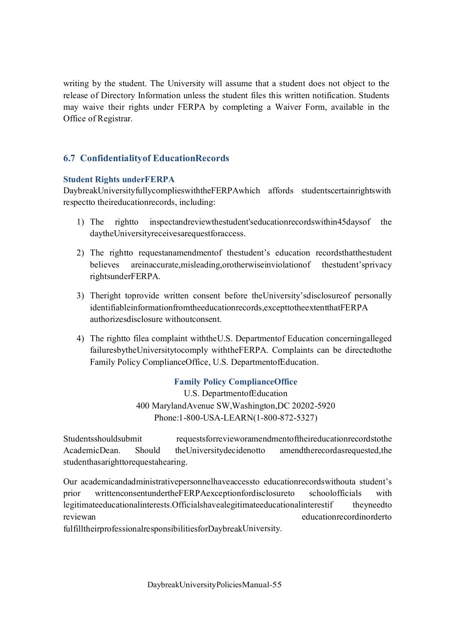writing by the student. The University will assume that a student does not object to the release of Directory Information unless the student files this written notification. Students may waive their rights under FERPA by completing a Waiver Form, available in the Office of Registrar.

### **6.7 Confidentialityof EducationRecords**

#### **Student Rights underFERPA**

DaybreakUniversityfullycomplieswiththeFERPAwhich affords studentscertainrightswith respectto theireducationrecords, including:

- 1) The rightto inspectandreviewthestudent'seducationrecordswithin45daysof the daytheUniversityreceivesarequestforaccess.
- 2) The rightto requestanamendmentof thestudent's education recordsthatthestudent believes areinaccurate,misleading,orotherwiseinviolationof thestudent'sprivacy rightsunderFERPA.
- 3) Theright toprovide written consent before theUniversity'sdisclosureof personally identifiableinformationfromtheeducationrecords,excepttotheextentthatFERPA authorizesdisclosure withoutconsent.
- 4) The rightto filea complaint withtheU.S. Departmentof Education concerningalleged failuresbytheUniversitytocomply withtheFERPA. Complaints can be directedtothe Family Policy ComplianceOffice, U.S. DepartmentofEducation.

### **Family Policy ComplianceOffice**

U.S. DepartmentofEducation 400 MarylandAvenue SW,Washington,DC 20202-5920 Phone:1-800-USA-LEARN(1-800-872-5327)

Studentsshouldsubmit requestsforrevieworamendmentoftheireducationrecordstothe AcademicDean. Should theUniversitydecidenotto amendtherecordasrequested,the studenthasarighttorequestahearing.

Our academicandadministrativepersonnelhaveaccessto educationrecordswithouta student's prior writtenconsentundertheFERPAexceptionfordisclosureto schoolofficials with legitimateeducationalinterests.Officialshavealegitimateeducationalinterestif theyneedto reviewan educationrecordinorderto fulfilltheirprofessionalresponsibilitiesforDaybreakUniversity.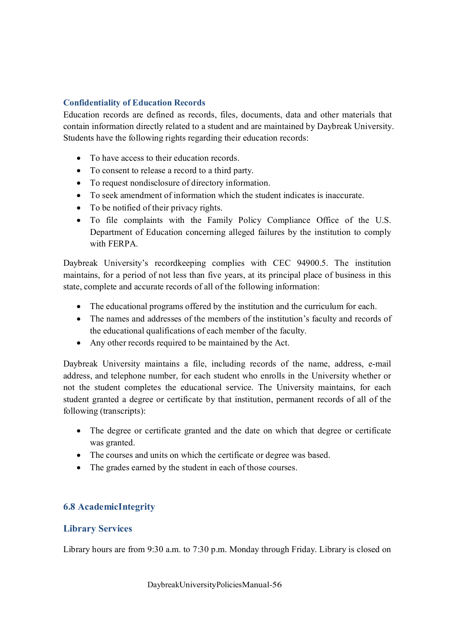# **Confidentiality of Education Records**

Education records are defined as records, files, documents, data and other materials that contain information directly related to a student and are maintained by Daybreak University. Students have the following rights regarding their education records:

- To have access to their education records.
- · To consent to release a record to a third party.
- · To request nondisclosure of directory information.
- · To seek amendment of information which the student indicates is inaccurate.
- · To be notified of their privacy rights.
- · To file complaints with the Family Policy Compliance Office of the U.S. Department of Education concerning alleged failures by the institution to comply with FERPA.

Daybreak University's recordkeeping complies with CEC 94900.5. The institution maintains, for a period of not less than five years, at its principal place of business in this state, complete and accurate records of all of the following information:

- · The educational programs offered by the institution and the curriculum for each.
- · The names and addresses of the members of the institution's faculty and records of the educational qualifications of each member of the faculty.
- · Any other records required to be maintained by the Act.

Daybreak University maintains a file, including records of the name, address, e-mail address, and telephone number, for each student who enrolls in the University whether or not the student completes the educational service. The University maintains, for each student granted a degree or certificate by that institution, permanent records of all of the following (transcripts):

- · The degree or certificate granted and the date on which that degree or certificate was granted.
- · The courses and units on which the certificate or degree was based.
- The grades earned by the student in each of those courses.

# **6.8 AcademicIntegrity**

### **Library Services**

Library hours are from 9:30 a.m. to 7:30 p.m. Monday through Friday. Library is closed on

DaybreakUniversityPoliciesManual-56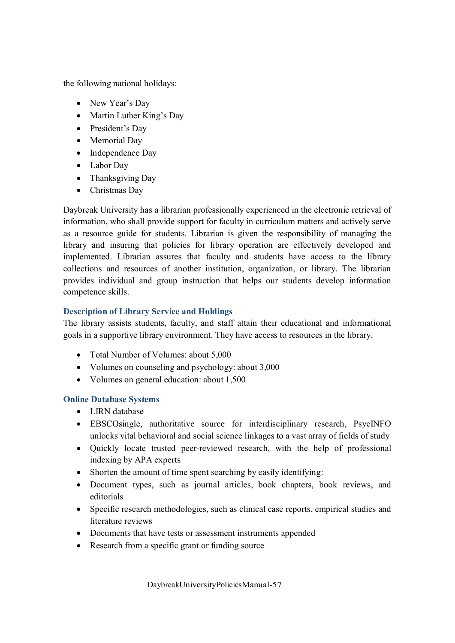the following national holidays:

- New Year's Day
- Martin Luther King's Day
- President's Day
- Memorial Day
- Independence Day
- · Labor Day
- Thanksgiving Day
- Christmas Dav

Daybreak University has a librarian professionally experienced in the electronic retrieval of information, who shall provide support for faculty in curriculum matters and actively serve as a resource guide for students. Librarian is given the responsibility of managing the library and insuring that policies for library operation are effectively developed and implemented. Librarian assures that faculty and students have access to the library collections and resources of another institution, organization, or library. The librarian provides individual and group instruction that helps our students develop information competence skills.

# **Description of Library Service and Holdings**

The library assists students, faculty, and staff attain their educational and informational goals in a supportive library environment. They have access to resources in the library.

- Total Number of Volumes: about 5,000
- · Volumes on counseling and psychology: about 3,000
- Volumes on general education: about 1,500

### **Online Database Systems**

- · LIRN database
- EBSCOsingle, authoritative source for interdisciplinary research, PsycINFO unlocks vital behavioral and social science linkages to a vast array of fields of study
- · Quickly locate trusted peer-reviewed research, with the help of professional indexing by APA experts
- Shorten the amount of time spent searching by easily identifying:
- · Document types, such as journal articles, book chapters, book reviews, and editorials
- Specific research methodologies, such as clinical case reports, empirical studies and literature reviews
- Documents that have tests or assessment instruments appended
- Research from a specific grant or funding source

DaybreakUniversityPoliciesManual-57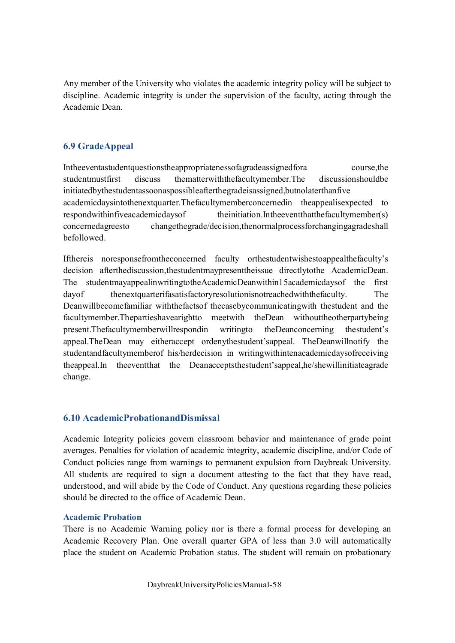Any member of the University who violates the academic integrity policy will be subject to discipline. Academic integrity is under the supervision of the faculty, acting through the Academic Dean.

# **6.9 GradeAppeal**

Intheeventastudentquestionstheappropriatenessofagradeassignedfora course,the studentmustfirst discuss thematterwiththefacultymember.The discussionshouldbe initiatedbythestudentassoonaspossibleafterthegradeisassigned,butnolaterthanfive academicdaysintothenextquarter.Thefacultymemberconcernedin theappealisexpected to respondwithinfiveacademicdaysof theinitiation.Intheeventthatthefacultymember(s) concernedagreesto changethegrade/decision,thenormalprocessforchangingagradeshall befollowed.

Ifthereis noresponsefromtheconcerned faculty orthestudentwishestoappealthefaculty's decision afterthediscussion,thestudentmaypresenttheissue directlytothe AcademicDean. The studentmayappealinwritingtotheAcademicDeanwithin15academicdaysof the first dayof thenextquarterifasatisfactoryresolutionisnotreachedwiththefaculty. The Deanwillbecomefamiliar withthefactsof thecasebycommunicatingwith thestudent and the facultymember.Thepartieshavearightto meetwith theDean withouttheotherpartybeing present.Thefacultymemberwillrespondin writingto theDeanconcerning thestudent's appeal.TheDean may eitheraccept ordenythestudent'sappeal. TheDeanwillnotify the studentandfacultymemberof his/herdecision in writingwithintenacademicdaysofreceiving theappeal.In theeventthat the Deanacceptsthestudent'sappeal,he/shewillinitiateagrade change.

# **6.10 AcademicProbationandDismissal**

Academic Integrity policies govern classroom behavior and maintenance of grade point averages. Penalties for violation of academic integrity, academic discipline, and/or Code of Conduct policies range from warnings to permanent expulsion from Daybreak University. All students are required to sign a document attesting to the fact that they have read, understood, and will abide by the Code of Conduct. Any questions regarding these policies should be directed to the office of Academic Dean.

# **Academic Probation**

There is no Academic Warning policy nor is there a formal process for developing an Academic Recovery Plan. One overall quarter GPA of less than 3.0 will automatically place the student on Academic Probation status. The student will remain on probationary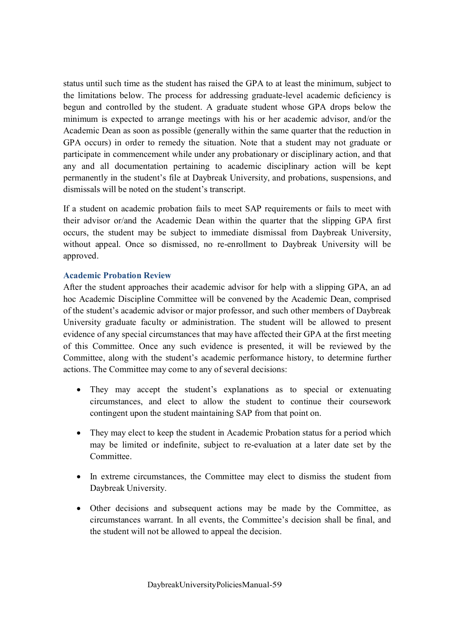status until such time as the student has raised the GPA to at least the minimum, subject to the limitations below. The process for addressing graduate-level academic deficiency is begun and controlled by the student. A graduate student whose GPA drops below the minimum is expected to arrange meetings with his or her academic advisor, and/or the Academic Dean as soon as possible (generally within the same quarter that the reduction in GPA occurs) in order to remedy the situation. Note that a student may not graduate or participate in commencement while under any probationary or disciplinary action, and that any and all documentation pertaining to academic disciplinary action will be kept permanently in the student's file at Daybreak University, and probations, suspensions, and dismissals will be noted on the student's transcript.

If a student on academic probation fails to meet SAP requirements or fails to meet with their advisor or/and the Academic Dean within the quarter that the slipping GPA first occurs, the student may be subject to immediate dismissal from Daybreak University, without appeal. Once so dismissed, no re-enrollment to Daybreak University will be approved.

### **Academic Probation Review**

After the student approaches their academic advisor for help with a slipping GPA, an ad hoc Academic Discipline Committee will be convened by the Academic Dean, comprised of the student's academic advisor or major professor, and such other members of Daybreak University graduate faculty or administration. The student will be allowed to present evidence of any special circumstances that may have affected their GPA at the first meeting of this Committee. Once any such evidence is presented, it will be reviewed by the Committee, along with the student's academic performance history, to determine further actions. The Committee may come to any of several decisions:

- They may accept the student's explanations as to special or extenuating circumstances, and elect to allow the student to continue their coursework contingent upon the student maintaining SAP from that point on.
- They may elect to keep the student in Academic Probation status for a period which may be limited or indefinite, subject to re-evaluation at a later date set by the Committee.
- In extreme circumstances, the Committee may elect to dismiss the student from Daybreak University.
- · Other decisions and subsequent actions may be made by the Committee, as circumstances warrant. In all events, the Committee's decision shall be final, and the student will not be allowed to appeal the decision.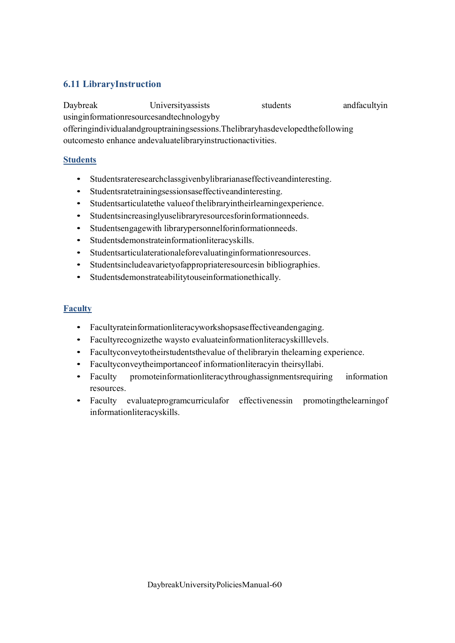# **6.11 LibraryInstruction**

Daybreak Universityassists students andfacultyin usinginformationresourcesandtechnologyby offeringindividualandgrouptrainingsessions.Thelibraryhasdevelopedthefollowing outcomesto enhance andevaluatelibraryinstructionactivities.

### **Students**

- Studentsrateresearchclassgivenbylibrarianaseffectiveandinteresting.
- Studentsratetrainingsessionsaseffectiveandinteresting.
- Studentsarticulatethe valueof thelibraryintheirlearningexperience.
- Studentsincreasinglyuselibraryresourcesforinformationneeds.
- Studentsengagewith librarypersonnelforinformationneeds.
- Studentsdemonstrateinformationliteracyskills.
- Studentsarticulaterationaleforevaluatinginformationresources.
- Studentsincludeavarietyofappropriateresourcesin bibliographies.
- Studentsdemonstrateabilitytouseinformationethically.

### **Faculty**

- Facultyrateinformationliteracyworkshopsaseffectiveandengaging.
- Facultyrecognizethe waysto evaluateinformationliteracyskilllevels.
- Facultyconveytotheirstudentsthevalue of thelibraryin thelearning experience.
- Facultyconveytheimportanceof informationliteracyin theirsyllabi.
- Faculty promoteinformationliteracythroughassignmentsrequiring information resources.
- Faculty evaluateprogramcurriculafor effectivenessin promotingthelearning of informationliteracyskills.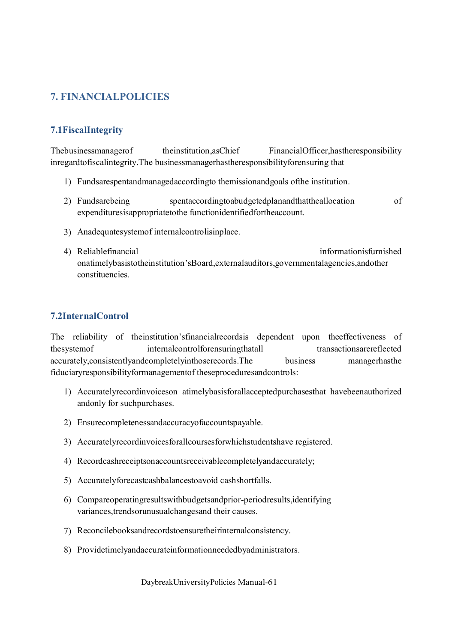# **7. FINANCIALPOLICIES**

# **7.1FiscalIntegrity**

Thebusinessmanagerof theinstitution,asChief FinancialOfficer,hastheresponsibility inregardtofiscalintegrity.The businessmanagerhastheresponsibilityforensuring that

- 1) Fundsarespentandmanagedaccordingto themissionandgoals ofthe institution.
- 2) Fundsarebeing spentaccordingtoabudgetedplanandthattheallocation of expendituresisappropriatetothe functionidentifiedfortheaccount.
- 3) Anadequatesystemof internalcontrolisinplace.
- 4) Reliablefinancial informationisfurnished onatimelybasistotheinstitution'sBoard,externalauditors,governmentalagencies,andother constituencies.

### **7.2InternalControl**

The reliability of theinstitution'sfinancialrecordsis dependent upon theeffectiveness of thesystemof internalcontrolforensuringthatall transactionsarereflected accurately,consistentlyandcompletelyinthoserecords.The business managerhasthe fiduciaryresponsibilityformanagementof theseproceduresandcontrols:

- 1) Accuratelyrecordinvoiceson atimelybasisforallacceptedpurchasesthat havebeenauthorized andonly for suchpurchases.
- 2) Ensurecompletenessandaccuracyofaccountspayable.
- 3) Accuratelyrecordinvoicesforallcoursesforwhichstudentshave registered.
- 4) Recordcashreceiptsonaccountsreceivablecompletelyandaccurately;
- 5) Accuratelyforecastcashbalancestoavoid cashshortfalls.
- 6) Compareoperatingresultswithbudgetsandprior-periodresults,identifying variances,trendsorunusualchangesand their causes.
- 7) Reconcilebooksandrecordstoensuretheirinternalconsistency.
- 8) Providetimelyandaccurateinformationneededbyadministrators.

DaybreakUniversityPolicies Manual-61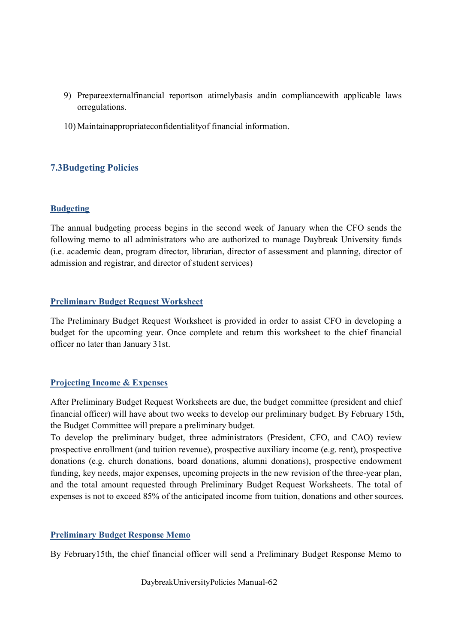- 9) Prepareexternalfinancial reportson atimelybasis andin compliancewith applicable laws orregulations.
- 10) Maintainappropriateconfidentialityof financial information.

# **7.3Budgeting Policies**

### **Budgeting**

The annual budgeting process begins in the second week of January when the CFO sends the following memo to all administrators who are authorized to manage Daybreak University funds (i.e. academic dean, program director, librarian, director of assessment and planning, director of admission and registrar, and director of student services)

### **Preliminary Budget Request Worksheet**

The Preliminary Budget Request Worksheet is provided in order to assist CFO in developing a budget for the upcoming year. Once complete and return this worksheet to the chief financial officer no later than January 31st.

### **Projecting Income & Expenses**

After Preliminary Budget Request Worksheets are due, the budget committee (president and chief financial officer) will have about two weeks to develop our preliminary budget. By February 15th, the Budget Committee will prepare a preliminary budget.

To develop the preliminary budget, three administrators (President, CFO, and CAO) review prospective enrollment (and tuition revenue), prospective auxiliary income (e.g. rent), prospective donations (e.g. church donations, board donations, alumni donations), prospective endowment funding, key needs, major expenses, upcoming projects in the new revision of the three-year plan, and the total amount requested through Preliminary Budget Request Worksheets. The total of expenses is not to exceed 85% of the anticipated income from tuition, donations and other sources.

### **Preliminary Budget Response Memo**

By February15th, the chief financial officer will send a Preliminary Budget Response Memo to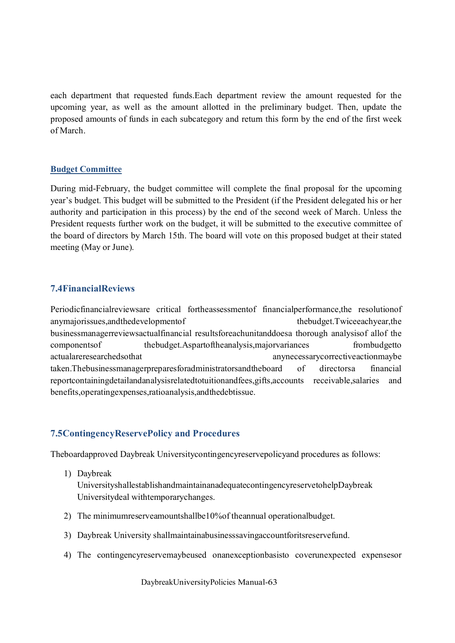each department that requested funds.Each department review the amount requested for the upcoming year, as well as the amount allotted in the preliminary budget. Then, update the proposed amounts of funds in each subcategory and return this form by the end of the first week of March.

#### **Budget Committee**

During mid-February, the budget committee will complete the final proposal for the upcoming year's budget. This budget will be submitted to the President (if the President delegated his or her authority and participation in this process) by the end of the second week of March. Unless the President requests further work on the budget, it will be submitted to the executive committee of the board of directors by March 15th. The board will vote on this proposed budget at their stated meeting (May or June).

# **7.4FinancialReviews**

Periodicfinancialreviewsare critical fortheassessmentof financialperformance,the resolutionof anymajorissues,andthedevelopmentof thebudget.Twiceeachyear,the businessmanagerreviewsactualfinancial resultsforeachunitanddoesa thorough analysisof allof the componentsof thebudget.Aspartoftheanalysis,majorvariances frombudgetto actualareresearchedsothat anynecessarycorrectiveactionmaybe taken.Thebusinessmanagerpreparesforadministratorsandtheboard of directorsa financial reportcontainingdetailandanalysisrelatedtotuitionandfees,gifts,accounts receivable,salaries and benefits,operatingexpenses,ratioanalysis,andthedebtissue.

# **7.5ContingencyReservePolicy and Procedures**

Theboardapproved Daybreak Universitycontingencyreservepolicyand procedures as follows:

1) Daybreak

UniversityshallestablishandmaintainanadequatecontingencyreservetohelpDaybreak Universitydeal withtemporarychanges.

- 2) The minimumreserveamountshallbe10%of theannual operationalbudget.
- 3) Daybreak University shallmaintainabusinesssavingaccountforitsreservefund.
- 4) The contingencyreservemaybeused onanexceptionbasisto coverunexpected expensesor

DaybreakUniversityPolicies Manual-63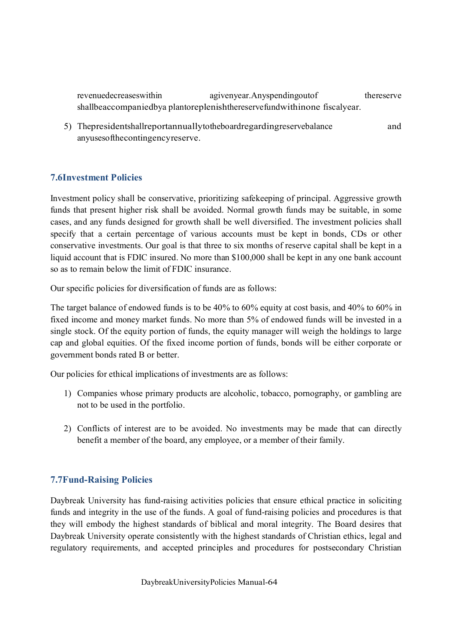revenuedecreaseswithin agivenyear.Anyspendingoutof thereserve shallbeaccompaniedbya plantoreplenishthereservefundwithinone fiscalyear.

5) Thepresidentshallreportannuallytotheboardregardingreservebalance and anyusesofthecontingencyreserve.

# **7.6Investment Policies**

Investment policy shall be conservative, prioritizing safekeeping of principal. Aggressive growth funds that present higher risk shall be avoided. Normal growth funds may be suitable, in some cases, and any funds designed for growth shall be well diversified. The investment policies shall specify that a certain percentage of various accounts must be kept in bonds, CDs or other conservative investments. Our goal is that three to six months of reserve capital shall be kept in a liquid account that is FDIC insured. No more than \$100,000 shall be kept in any one bank account so as to remain below the limit of FDIC insurance.

Our specific policies for diversification of funds are as follows:

The target balance of endowed funds is to be 40% to 60% equity at cost basis, and 40% to 60% in fixed income and money market funds. No more than 5% of endowed funds will be invested in a single stock. Of the equity portion of funds, the equity manager will weigh the holdings to large cap and global equities. Of the fixed income portion of funds, bonds will be either corporate or government bonds rated B or better.

Our policies for ethical implications of investments are as follows:

- 1) Companies whose primary products are alcoholic, tobacco, pornography, or gambling are not to be used in the portfolio.
- 2) Conflicts of interest are to be avoided. No investments may be made that can directly benefit a member of the board, any employee, or a member of their family.

### **7.7Fund-Raising Policies**

Daybreak University has fund-raising activities policies that ensure ethical practice in soliciting funds and integrity in the use of the funds. A goal of fund-raising policies and procedures is that they will embody the highest standards of biblical and moral integrity. The Board desires that Daybreak University operate consistently with the highest standards of Christian ethics, legal and regulatory requirements, and accepted principles and procedures for postsecondary Christian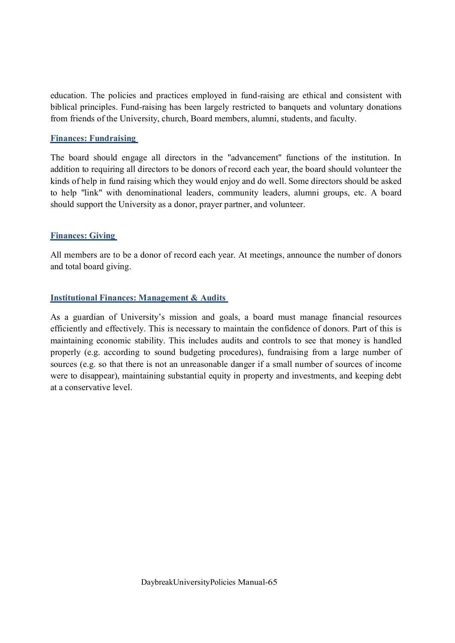education. The policies and practices employed in fund-raising are ethical and consistent with biblical principles. Fund-raising has been largely restricted to banquets and voluntary donations from friends of the University, church, Board members, alumni, students, and faculty.

### **Finances: Fundraising**

The board should engage all directors in the "advancement" functions of the institution. In addition to requiring all directors to be donors of record each year, the board should volunteer the kinds of help in fund raising which they would enjoy and do well. Some directors should be asked to help "link" with denominational leaders, community leaders, alumni groups, etc. A board should support the University as a donor, prayer partner, and volunteer.

### **Finances: Giving**

All members are to be a donor of record each year. At meetings, announce the number of donors and total board giving.

### **Institutional Finances: Management & Audits**

As a guardian of University's mission and goals, a board must manage financial resources efficiently and effectively. This is necessary to maintain the confidence of donors. Part of this is maintaining economic stability. This includes audits and controls to see that money is handled properly (e.g. according to sound budgeting procedures), fundraising from a large number of sources (e.g. so that there is not an unreasonable danger if a small number of sources of income were to disappear), maintaining substantial equity in property and investments, and keeping debt at a conservative level.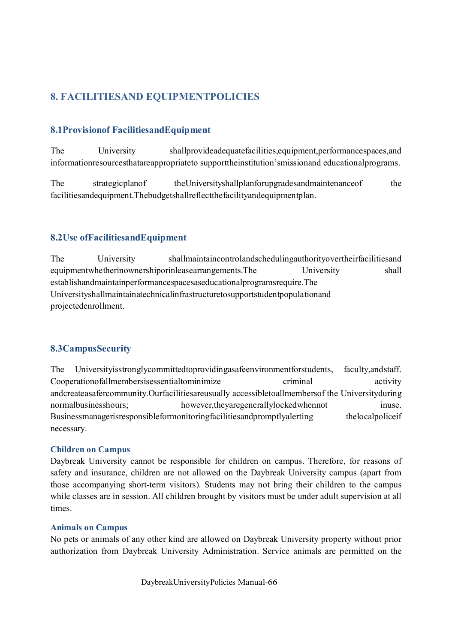# **8. FACILITIESAND EQUIPMENTPOLICIES**

# **8.1Provisionof FacilitiesandEquipment**

The University shallprovideadequatefacilities,equipment,performancespaces,and informationresourcesthatareappropriateto supporttheinstitution'smissionand educationalprograms.

The strategicplanof the University shall planforup grades and maintenance of the facilitiesandequipment.Thebudgetshallreflectthefacilityandequipmentplan.

# **8.2Use ofFacilitiesandEquipment**

The University shallmaintaincontrolandschedulingauthorityovertheirfacilitiesand equipmentwhetherinownershiporinleasearrangements.The University shall establishandmaintainperformancespacesaseducationalprogramsrequire.The Universityshallmaintainatechnicalinfrastructuretosupportstudentpopulationand projectedenrollment.

# **8.3CampusSecurity**

The Universityisstronglycommittedtoprovidingasafeenvironmentforstudents, faculty,andstaff. Cooperationofallmembersisessentialtominimize criminal activity andcreateasafercommunity.Ourfacilitiesareusually accessibletoallmembersof the Universityduring normalbusinesshours; however,theyaregenerallylockedwhennot inuse. Businessmanagerisresponsibleformonitoringfacilitiesandpromptlyalerting the localpoliceif necessary.

### **Children on Campus**

Daybreak University cannot be responsible for children on campus. Therefore, for reasons of safety and insurance, children are not allowed on the Daybreak University campus (apart from those accompanying short-term visitors). Students may not bring their children to the campus while classes are in session. All children brought by visitors must be under adult supervision at all times.

### **Animals on Campus**

No pets or animals of any other kind are allowed on Daybreak University property without prior authorization from Daybreak University Administration. Service animals are permitted on the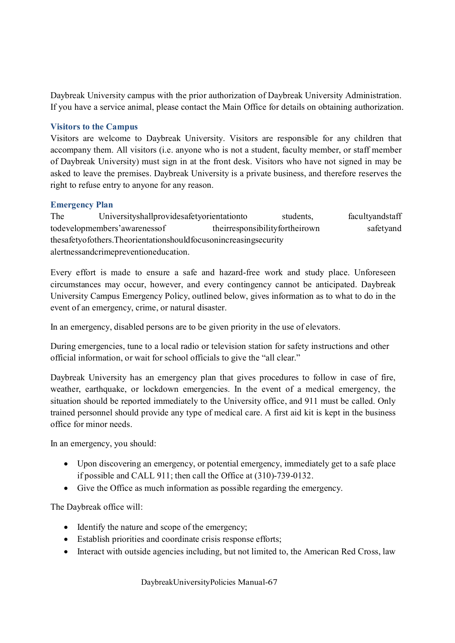Daybreak University campus with the prior authorization of Daybreak University Administration. If you have a service animal, please contact the Main Office for details on obtaining authorization.

### **Visitors to the Campus**

Visitors are welcome to Daybreak University. Visitors are responsible for any children that accompany them. All visitors (i.e. anyone who is not a student, faculty member, or staff member of Daybreak University) must sign in at the front desk. Visitors who have not signed in may be asked to leave the premises. Daybreak University is a private business, and therefore reserves the right to refuse entry to anyone for any reason.

### **Emergency Plan**

The Universityshallprovidesafetyorientationto students, facultyandstaff todevelopmembers'awarenessof theirresponsibilityfortheirown safetyand thesafetyofothers.Theorientationshouldfocusonincreasingsecurity alertnessandcrimepreventioneducation.

Every effort is made to ensure a safe and hazard-free work and study place. Unforeseen circumstances may occur, however, and every contingency cannot be anticipated. Daybreak University Campus Emergency Policy, outlined below, gives information as to what to do in the event of an emergency, crime, or natural disaster.

In an emergency, disabled persons are to be given priority in the use of elevators.

During emergencies, tune to a local radio or television station for safety instructions and other official information, or wait for school officials to give the "all clear."

Daybreak University has an emergency plan that gives procedures to follow in case of fire, weather, earthquake, or lockdown emergencies. In the event of a medical emergency, the situation should be reported immediately to the University office, and 911 must be called. Only trained personnel should provide any type of medical care. A first aid kit is kept in the business office for minor needs.

In an emergency, you should:

- · Upon discovering an emergency, or potential emergency, immediately get to a safe place if possible and CALL 911; then call the Office at (310)-739-0132.
- · Give the Office as much information as possible regarding the emergency.

The Daybreak office will:

- Identify the nature and scope of the emergency;
- Establish priorities and coordinate crisis response efforts;
- Interact with outside agencies including, but not limited to, the American Red Cross, law

DaybreakUniversityPolicies Manual-67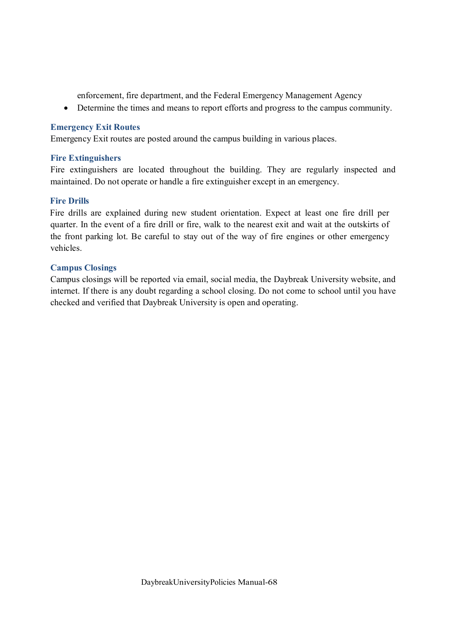enforcement, fire department, and the Federal Emergency Management Agency

· Determine the times and means to report efforts and progress to the campus community.

#### **Emergency Exit Routes**

Emergency Exit routes are posted around the campus building in various places.

### **Fire Extinguishers**

Fire extinguishers are located throughout the building. They are regularly inspected and maintained. Do not operate or handle a fire extinguisher except in an emergency.

### **Fire Drills**

Fire drills are explained during new student orientation. Expect at least one fire drill per quarter. In the event of a fire drill or fire, walk to the nearest exit and wait at the outskirts of the front parking lot. Be careful to stay out of the way of fire engines or other emergency vehicles.

### **Campus Closings**

Campus closings will be reported via email, social media, the Daybreak University website, and internet. If there is any doubt regarding a school closing. Do not come to school until you have checked and verified that Daybreak University is open and operating.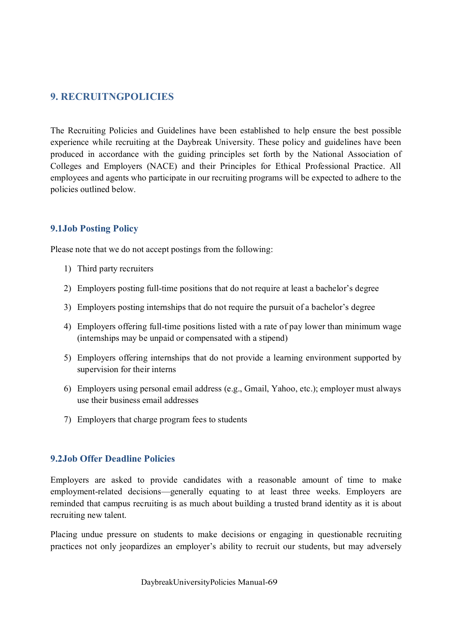# **9. RECRUITNGPOLICIES**

The Recruiting Policies and Guidelines have been established to help ensure the best possible experience while recruiting at the Daybreak University. These policy and guidelines have been produced in accordance with the guiding principles set forth by the National Association of Colleges and Employers (NACE) and their Principles for Ethical Professional Practice. All employees and agents who participate in our recruiting programs will be expected to adhere to the policies outlined below.

# **9.1Job Posting Policy**

Please note that we do not accept postings from the following:

- 1) Third party recruiters
- 2) Employers posting full-time positions that do not require at least a bachelor's degree
- 3) Employers posting internships that do not require the pursuit of a bachelor's degree
- 4) Employers offering full-time positions listed with a rate of pay lower than minimum wage (internships may be unpaid or compensated with a stipend)
- 5) Employers offering internships that do not provide a learning environment supported by supervision for their interns
- 6) Employers using personal email address (e.g., Gmail, Yahoo, etc.); employer must always use their business email addresses
- 7) Employers that charge program fees to students

### **9.2Job Offer Deadline Policies**

Employers are asked to provide candidates with a reasonable amount of time to make employment-related decisions—generally equating to at least three weeks. Employers are reminded that campus recruiting is as much about building a trusted brand identity as it is about recruiting new talent.

Placing undue pressure on students to make decisions or engaging in questionable recruiting practices not only jeopardizes an employer's ability to recruit our students, but may adversely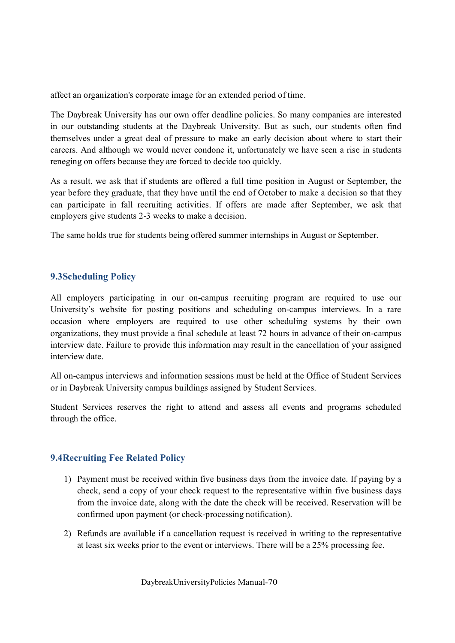affect an organization's corporate image for an extended period of time.

The Daybreak University has our own offer deadline policies. So many companies are interested in our outstanding students at the Daybreak University. But as such, our students often find themselves under a great deal of pressure to make an early decision about where to start their careers. And although we would never condone it, unfortunately we have seen a rise in students reneging on offers because they are forced to decide too quickly.

As a result, we ask that if students are offered a full time position in August or September, the year before they graduate, that they have until the end of October to make a decision so that they can participate in fall recruiting activities. If offers are made after September, we ask that employers give students 2-3 weeks to make a decision.

The same holds true for students being offered summer internships in August or September.

# **9.3Scheduling Policy**

All employers participating in our on-campus recruiting program are required to use our University's website for posting positions and scheduling on-campus interviews. In a rare occasion where employers are required to use other scheduling systems by their own organizations, they must provide a final schedule at least 72 hours in advance of their on-campus interview date. Failure to provide this information may result in the cancellation of your assigned interview date.

All on-campus interviews and information sessions must be held at the Office of Student Services or in Daybreak University campus buildings assigned by Student Services.

Student Services reserves the right to attend and assess all events and programs scheduled through the office.

# **9.4Recruiting Fee Related Policy**

- 1) Payment must be received within five business days from the invoice date. If paying by a check, send a copy of your check request to the representative within five business days from the invoice date, along with the date the check will be received. Reservation will be confirmed upon payment (or check-processing notification).
- 2) Refunds are available if a cancellation request is received in writing to the representative at least six weeks prior to the event or interviews. There will be a 25% processing fee.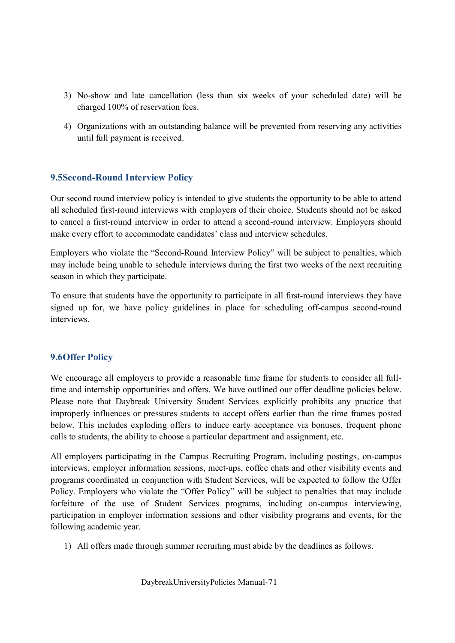- 3) No-show and late cancellation (less than six weeks of your scheduled date) will be charged 100% of reservation fees.
- 4) Organizations with an outstanding balance will be prevented from reserving any activities until full payment is received.

# **9.5Second-Round Interview Policy**

Our second round interview policy is intended to give students the opportunity to be able to attend all scheduled first-round interviews with employers of their choice. Students should not be asked to cancel a first-round interview in order to attend a second-round interview. Employers should make every effort to accommodate candidates' class and interview schedules.

Employers who violate the "Second-Round Interview Policy" will be subject to penalties, which may include being unable to schedule interviews during the first two weeks of the next recruiting season in which they participate.

To ensure that students have the opportunity to participate in all first-round interviews they have signed up for, we have policy guidelines in place for scheduling off-campus second-round interviews.

### **9.6Offer Policy**

We encourage all employers to provide a reasonable time frame for students to consider all fulltime and internship opportunities and offers. We have outlined our offer deadline policies below. Please note that Daybreak University Student Services explicitly prohibits any practice that improperly influences or pressures students to accept offers earlier than the time frames posted below. This includes exploding offers to induce early acceptance via bonuses, frequent phone calls to students, the ability to choose a particular department and assignment, etc.

All employers participating in the Campus Recruiting Program, including postings, on-campus interviews, employer information sessions, meet-ups, coffee chats and other visibility events and programs coordinated in conjunction with Student Services, will be expected to follow the Offer Policy. Employers who violate the "Offer Policy" will be subject to penalties that may include forfeiture of the use of Student Services programs, including on-campus interviewing, participation in employer information sessions and other visibility programs and events, for the following academic year.

1) All offers made through summer recruiting must abide by the deadlines as follows.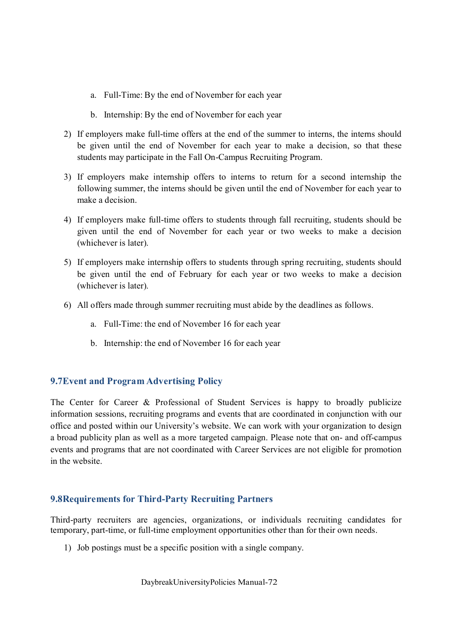- a. Full-Time: By the end of November for each year
- b. Internship: By the end of November for each year
- 2) If employers make full-time offers at the end of the summer to interns, the interns should be given until the end of November for each year to make a decision, so that these students may participate in the Fall On-Campus Recruiting Program.
- 3) If employers make internship offers to interns to return for a second internship the following summer, the interns should be given until the end of November for each year to make a decision.
- 4) If employers make full-time offers to students through fall recruiting, students should be given until the end of November for each year or two weeks to make a decision (whichever is later).
- 5) If employers make internship offers to students through spring recruiting, students should be given until the end of February for each year or two weeks to make a decision (whichever is later).
- 6) All offers made through summer recruiting must abide by the deadlines as follows.
	- a. Full-Time: the end of November 16 for each year
	- b. Internship: the end of November 16 for each year

# **9.7Event and Program Advertising Policy**

The Center for Career & Professional of Student Services is happy to broadly publicize information sessions, recruiting programs and events that are coordinated in conjunction with our office and posted within our University's website. We can work with your organization to design a broad publicity plan as well as a more targeted campaign. Please note that on- and off-campus events and programs that are not coordinated with Career Services are not eligible for promotion in the website.

# **9.8Requirements for Third-Party Recruiting Partners**

Third-party recruiters are agencies, organizations, or individuals recruiting candidates for temporary, part-time, or full-time employment opportunities other than for their own needs.

1) Job postings must be a specific position with a single company.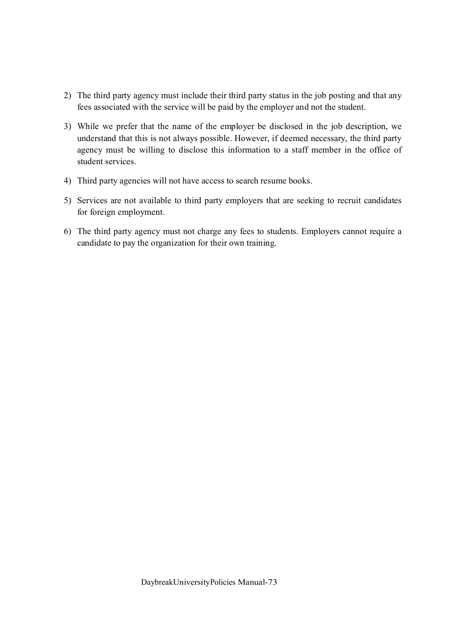- 2) The third party agency must include their third party status in the job posting and that any fees associated with the service will be paid by the employer and not the student.
- 3) While we prefer that the name of the employer be disclosed in the job description, we understand that this is not always possible. However, if deemed necessary, the third party agency must be willing to disclose this information to a staff member in the office of student services.
- 4) Third party agencies will not have access to search resume books.
- 5) Services are not available to third party employers that are seeking to recruit candidates for foreign employment.
- 6) The third party agency must not charge any fees to students. Employers cannot require a candidate to pay the organization for their own training.